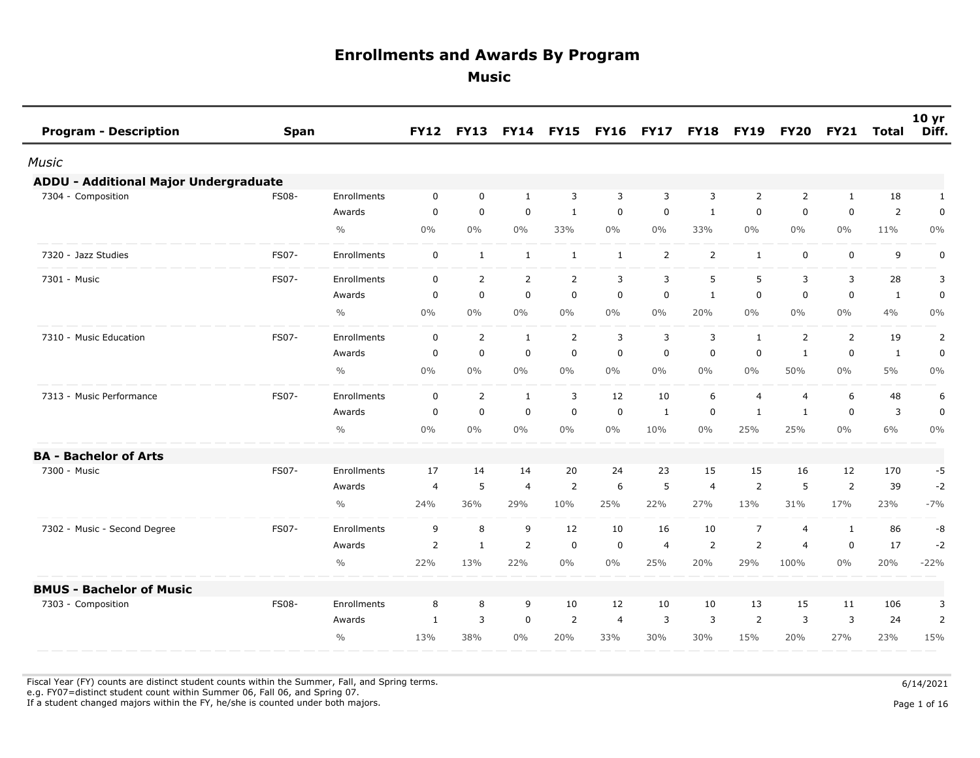**Music** 

| <b>Program - Description</b>          | <b>Span</b>  |               | <b>FY12</b>    | <b>FY13</b>    | <b>FY14</b>    | <b>FY15</b>    | <b>FY16</b>  | <b>FY17</b>    | <b>FY18</b>    | <b>FY19</b>    | <b>FY20</b>    | <b>FY21</b>    | Total          | 10 <sub>yr</sub><br>Diff. |
|---------------------------------------|--------------|---------------|----------------|----------------|----------------|----------------|--------------|----------------|----------------|----------------|----------------|----------------|----------------|---------------------------|
| Music                                 |              |               |                |                |                |                |              |                |                |                |                |                |                |                           |
| ADDU - Additional Major Undergraduate |              |               |                |                |                |                |              |                |                |                |                |                |                |                           |
| 7304 - Composition                    | <b>FS08-</b> | Enrollments   | $\mathbf 0$    | $\mathbf 0$    | $\mathbf{1}$   | 3              | 3            | 3              | 3              | $\overline{2}$ | $\overline{2}$ | $\mathbf{1}$   | 18             | $\mathbf{1}$              |
|                                       |              | Awards        | $\mathbf 0$    | $\mathbf 0$    | 0              | $\mathbf{1}$   | 0            | $\mathbf 0$    | 1              | $\mathbf 0$    | $\mathbf 0$    | 0              | $\overline{2}$ | $\mathbf 0$               |
|                                       |              | $\frac{0}{0}$ | $0\%$          | $0\%$          | $0\%$          | 33%            | $0\%$        | $0\%$          | 33%            | $0\%$          | $0\%$          | $0\%$          | 11%            | $0\%$                     |
| 7320 - Jazz Studies                   | <b>FS07-</b> | Enrollments   | $\mathbf 0$    | $\mathbf{1}$   | $\mathbf{1}$   | 1              | $\mathbf{1}$ | 2              | $\overline{2}$ | $\mathbf{1}$   | $\mathbf 0$    | $\mathbf 0$    | 9              | $\mathbf 0$               |
| 7301 - Music                          | FS07-        | Enrollments   | $\mathbf 0$    | $\overline{2}$ | $\overline{2}$ | 2              | 3            | 3              | 5              | 5              | 3              | 3              | 28             | 3                         |
|                                       |              | Awards        | 0              | $\mathbf 0$    | 0              | $\mathbf 0$    | $\mathbf 0$  | 0              | 1              | 0              | 0              | $\mathbf 0$    | 1              | 0                         |
|                                       |              | $\frac{0}{0}$ | $0\%$          | $0\%$          | $0\%$          | $0\%$          | $0\%$        | $0\%$          | 20%            | $0\%$          | $0\%$          | $0\%$          | 4%             | $0\%$                     |
| 7310 - Music Education                | FS07-        | Enrollments   | $\mathbf 0$    | $\overline{2}$ | $\mathbf{1}$   | $\overline{2}$ | 3            | 3              | 3              | $\mathbf{1}$   | $\overline{2}$ | $\overline{2}$ | 19             | $\overline{2}$            |
|                                       |              | Awards        | 0              | $\mathbf 0$    | $\mathbf 0$    | $\mathbf 0$    | $\mathbf 0$  | $\mathbf 0$    | $\mathbf 0$    | $\mathbf 0$    | $\mathbf{1}$   | $\mathbf 0$    | $\mathbf{1}$   | 0                         |
|                                       |              | $\frac{0}{0}$ | $0\%$          | $0\%$          | $0\%$          | $0\%$          | $0\%$        | $0\%$          | $0\%$          | $0\%$          | 50%            | $0\%$          | 5%             | $0\%$                     |
| 7313 - Music Performance              | FS07-        | Enrollments   | $\mathbf 0$    | $\overline{2}$ | $\mathbf{1}$   | 3              | 12           | 10             | 6              | $\overline{4}$ | 4              | 6              | 48             | 6                         |
|                                       |              | Awards        | 0              | $\mathbf 0$    | $\mathbf 0$    | $\mathbf 0$    | $\mathbf 0$  | $\mathbf{1}$   | $\mathbf 0$    | $\mathbf{1}$   | $\mathbf{1}$   | $\mathbf 0$    | 3              | 0                         |
|                                       |              | $\frac{0}{0}$ | $0\%$          | $0\%$          | $0\%$          | $0\%$          | $0\%$        | 10%            | $0\%$          | 25%            | 25%            | $0\%$          | 6%             | $0\%$                     |
| <b>BA - Bachelor of Arts</b>          |              |               |                |                |                |                |              |                |                |                |                |                |                |                           |
| 7300 - Music                          | <b>FS07-</b> | Enrollments   | 17             | 14             | 14             | 20             | 24           | 23             | 15             | 15             | 16             | 12             | 170            | -5                        |
|                                       |              | Awards        | 4              | $\sqrt{5}$     | 4              | $\overline{2}$ | 6            | 5              | 4              | $\overline{2}$ | 5              | $\overline{2}$ | 39             | $-2$                      |
|                                       |              | $\frac{0}{0}$ | 24%            | 36%            | 29%            | 10%            | 25%          | 22%            | 27%            | 13%            | 31%            | 17%            | 23%            | $-7%$                     |
| 7302 - Music - Second Degree          | FS07-        | Enrollments   | 9              | 8              | 9              | 12             | 10           | 16             | 10             | $\overline{7}$ | 4              | 1              | 86             | -8                        |
|                                       |              | Awards        | $\overline{2}$ | 1              | $\overline{2}$ | $\mathbf 0$    | 0            | $\overline{4}$ | 2              | $\overline{2}$ | $\overline{4}$ | $\mathbf 0$    | 17             | $-2$                      |
|                                       |              | $\frac{0}{0}$ | 22%            | 13%            | 22%            | $0\%$          | $0\%$        | 25%            | 20%            | 29%            | 100%           | $0\%$          | 20%            | $-22%$                    |
| <b>BMUS - Bachelor of Music</b>       |              |               |                |                |                |                |              |                |                |                |                |                |                |                           |
| 7303 - Composition                    | <b>FS08-</b> | Enrollments   | 8              | 8              | 9              | 10             | 12           | 10             | 10             | 13             | 15             | 11             | 106            | 3                         |
|                                       |              | Awards        | 1              | 3              | $\mathbf 0$    | $\overline{2}$ | 4            | 3              | 3              | 2              | 3              | 3              | 24             | 2                         |
|                                       |              | $\frac{0}{0}$ | 13%            | 38%            | $0\%$          | 20%            | 33%          | 30%            | 30%            | 15%            | 20%            | 27%            | 23%            | 15%                       |

Fiscal Year (FY) counts are distinct student counts within the Summer, Fall, and Spring terms.  $6/14/2021$ 

e.g. FY07=distinct student count within Summer 06, Fall 06, and Spring 07.

If a student changed majors within the FY, he/she is counted under both majors. Page 1 of 16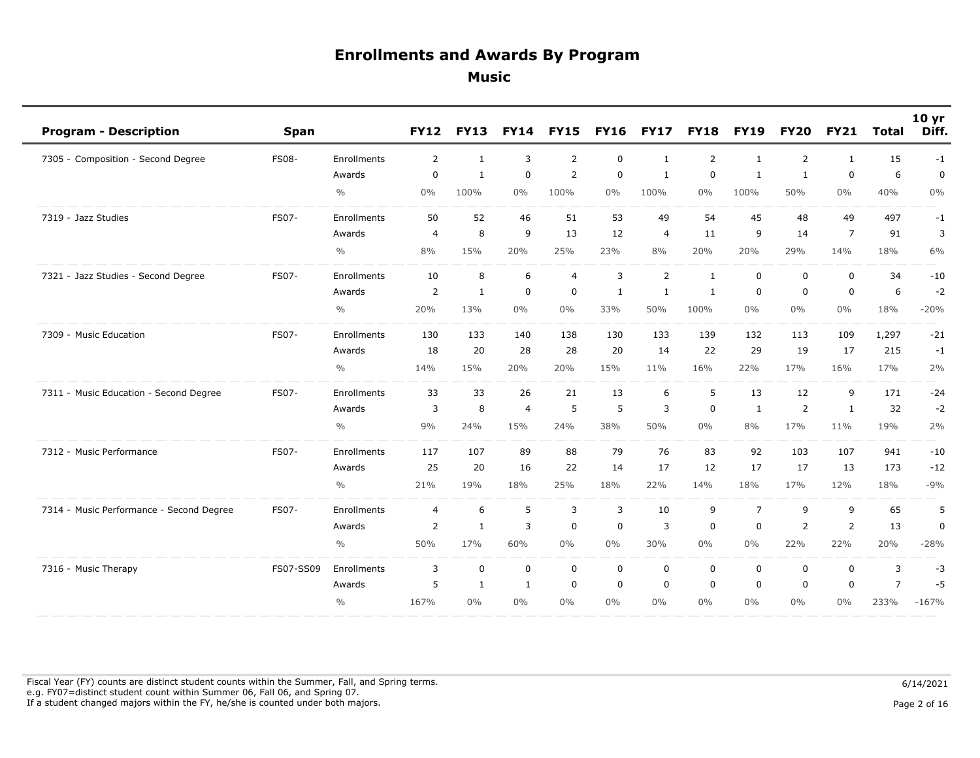| <b>Program - Description</b>             | <b>Span</b>  |               | <b>FY12</b>    | <b>FY13</b>  | <b>FY14</b>    | <b>FY15</b>    | <b>FY16</b>  | <b>FY17</b>    | <b>FY18</b>  | <b>FY19</b>    | <b>FY20</b>    | <b>FY21</b>    | Total          | 10 <sub>yr</sub><br>Diff. |
|------------------------------------------|--------------|---------------|----------------|--------------|----------------|----------------|--------------|----------------|--------------|----------------|----------------|----------------|----------------|---------------------------|
| 7305 - Composition - Second Degree       | <b>FS08-</b> | Enrollments   | $\overline{2}$ | 1            | 3              | 2              | 0            | 1              | 2            | 1              | $\overline{2}$ | 1              | 15             | $-1$                      |
|                                          |              | Awards        | $\mathbf 0$    | $\mathbf{1}$ | $\mathbf 0$    | $\overline{2}$ | $\mathbf 0$  | $\mathbf{1}$   | $\mathbf 0$  | $\mathbf{1}$   | $\mathbf{1}$   | $\mathbf 0$    | 6              | $\mathbf 0$               |
|                                          |              | $\frac{0}{0}$ | 0%             | 100%         | 0%             | 100%           | $0\%$        | 100%           | $0\%$        | 100%           | 50%            | $0\%$          | 40%            | $0\%$                     |
| 7319 - Jazz Studies                      | FS07-        | Enrollments   | 50             | 52           | 46             | 51             | 53           | 49             | 54           | 45             | 48             | 49             | 497            | $-1$                      |
|                                          |              | Awards        | $\overline{4}$ | 8            | 9              | 13             | 12           | $\overline{4}$ | 11           | 9              | 14             | $\overline{7}$ | 91             | 3                         |
|                                          |              | $\frac{0}{0}$ | 8%             | 15%          | 20%            | 25%            | 23%          | 8%             | 20%          | 20%            | 29%            | 14%            | 18%            | 6%                        |
| 7321 - Jazz Studies - Second Degree      | FS07-        | Enrollments   | 10             | 8            | 6              | $\overline{4}$ | 3            | $\overline{2}$ | $\mathbf{1}$ | $\mathbf 0$    | $\mathbf 0$    | $\mathbf 0$    | 34             | $-10$                     |
|                                          |              | Awards        | $\overline{2}$ | 1            | $\mathbf 0$    | $\mathbf 0$    | $\mathbf{1}$ | 1              | $\mathbf{1}$ | $\mathbf 0$    | 0              | $\mathbf 0$    | 6              | $-2$                      |
|                                          |              | $\frac{0}{0}$ | 20%            | 13%          | $0\%$          | $0\%$          | 33%          | 50%            | 100%         | $0\%$          | $0\%$          | $0\%$          | 18%            | $-20%$                    |
| 7309 - Music Education                   | FS07-        | Enrollments   | 130            | 133          | 140            | 138            | 130          | 133            | 139          | 132            | 113            | 109            | 1,297          | $-21$                     |
|                                          |              | Awards        | 18             | 20           | 28             | 28             | 20           | 14             | 22           | 29             | 19             | 17             | 215            | $-1$                      |
|                                          |              | $\frac{0}{0}$ | 14%            | 15%          | 20%            | 20%            | 15%          | 11%            | 16%          | 22%            | 17%            | 16%            | 17%            | 2%                        |
| 7311 - Music Education - Second Degree   | FS07-        | Enrollments   | 33             | 33           | 26             | 21             | 13           | 6              | 5            | 13             | 12             | 9              | 171            | $-24$                     |
|                                          |              | Awards        | 3              | 8            | $\overline{4}$ | 5              | 5            | 3              | $\mathbf 0$  | $\mathbf{1}$   | 2              | $\mathbf{1}$   | 32             | $-2$                      |
|                                          |              | $\frac{0}{0}$ | 9%             | 24%          | 15%            | 24%            | 38%          | 50%            | $0\%$        | 8%             | 17%            | 11%            | 19%            | 2%                        |
| 7312 - Music Performance                 | FS07-        | Enrollments   | 117            | 107          | 89             | 88             | 79           | 76             | 83           | 92             | 103            | 107            | 941            | $-10$                     |
|                                          |              | Awards        | 25             | 20           | 16             | 22             | 14           | 17             | 12           | 17             | 17             | 13             | 173            | $-12$                     |
|                                          |              | $\frac{0}{0}$ | 21%            | 19%          | 18%            | 25%            | 18%          | 22%            | 14%          | 18%            | 17%            | 12%            | 18%            | $-9%$                     |
| 7314 - Music Performance - Second Degree | FS07-        | Enrollments   | $\overline{4}$ | 6            | 5              | 3              | 3            | 10             | 9            | $\overline{7}$ | 9              | 9              | 65             | 5                         |
|                                          |              | Awards        | $\overline{2}$ | $\mathbf{1}$ | 3              | $\mathbf 0$    | 0            | $\overline{3}$ | 0            | $\mathbf 0$    | 2              | $\overline{2}$ | 13             | $\pmb{0}$                 |
|                                          |              | $\frac{0}{0}$ | 50%            | 17%          | 60%            | $0\%$          | $0\%$        | 30%            | $0\%$        | $0\%$          | 22%            | 22%            | 20%            | $-28%$                    |
| 7316 - Music Therapy                     | FS07-SS09    | Enrollments   | 3              | $\mathbf 0$  | $\mathbf 0$    | $\mathbf 0$    | $\mathbf 0$  | $\mathbf 0$    | $\mathbf 0$  | $\mathbf 0$    | 0              | $\mathbf 0$    | 3              | $-3$                      |
|                                          |              | Awards        | 5              | 1            | $\mathbf{1}$   | 0              | $\mathbf 0$  | $\mathbf 0$    | $\mathbf 0$  | $\mathbf 0$    | $\mathbf 0$    | $\mathbf 0$    | $\overline{7}$ | $-5$                      |
|                                          |              | $\frac{0}{0}$ | 167%           | $0\%$        | $0\%$          | $0\%$          | $0\%$        | $0\%$          | $0\%$        | $0\%$          | $0\%$          | $0\%$          | 233%           | $-167%$                   |

Fiscal Year (FY) counts are distinct student counts within the Summer, Fall, and Spring terms.  $6/14/2021$  e.g. FY07=distinct student count within Summer 06, Fall 06, and Spring 07. If a student changed majors within the FY, he/she is counted under both majors. Page 2 of 16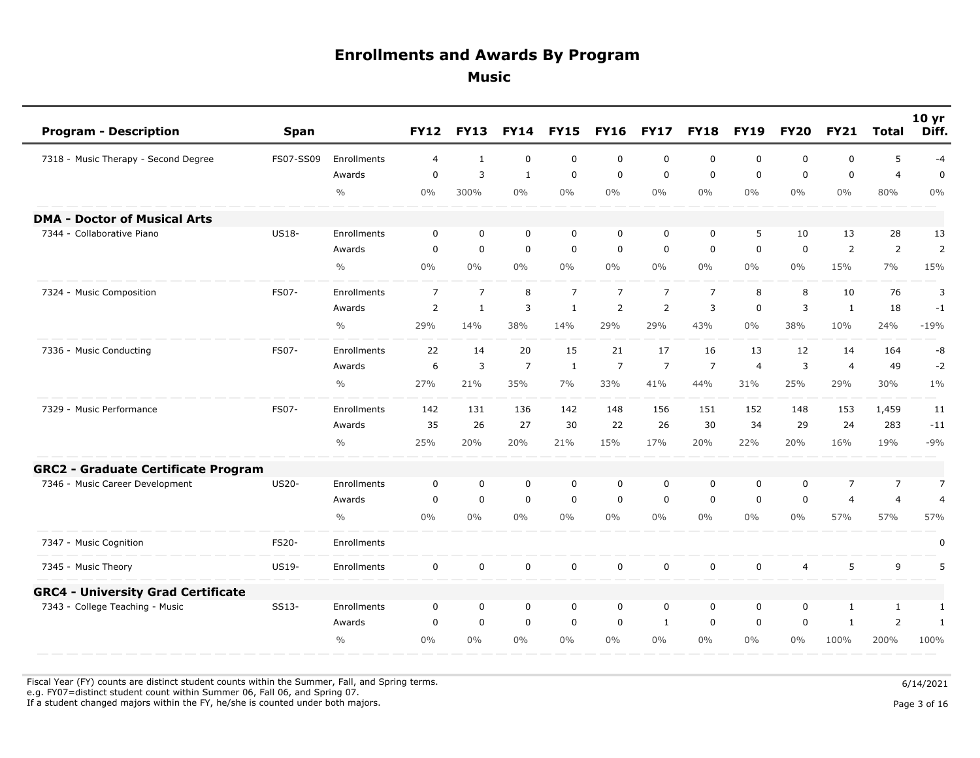| <b>Program - Description</b>               | <b>Span</b>  |                    | <b>FY12</b>    | <b>FY13</b>    | <b>FY14</b>    | <b>FY15</b>    | <b>FY16</b>    | <b>FY17</b>    | <b>FY18</b>    | <b>FY19</b>    | <b>FY20</b>    | <b>FY21</b>    | <b>Total</b>   | 10 <sub>yr</sub><br>Diff. |
|--------------------------------------------|--------------|--------------------|----------------|----------------|----------------|----------------|----------------|----------------|----------------|----------------|----------------|----------------|----------------|---------------------------|
| 7318 - Music Therapy - Second Degree       | FS07-SS09    | Enrollments        | $\overline{4}$ | $\mathbf{1}$   | $\mathbf 0$    | $\mathbf 0$    | $\mathbf 0$    | $\mathbf 0$    | $\mathbf 0$    | $\mathbf{0}$   | 0              | $\mathbf 0$    | 5              | $-4$                      |
|                                            |              | Awards             | $\mathbf 0$    | 3              | $\mathbf{1}$   | $\mathsf 0$    | $\mathbf 0$    | $\mathbf 0$    | $\mathbf 0$    | $\mathbf 0$    | $\mathbf 0$    | $\mathbf 0$    | $\overline{4}$ | $\mathbf 0$               |
|                                            |              | $\frac{0}{0}$      | 0%             | 300%           | $0\%$          | $0\%$          | $0\%$          | $0\%$          | $0\%$          | $0\%$          | $0\%$          | $0\%$          | 80%            | $0\%$                     |
| <b>DMA - Doctor of Musical Arts</b>        |              |                    |                |                |                |                |                |                |                |                |                |                |                |                           |
| 7344 - Collaborative Piano                 | <b>US18-</b> | Enrollments        | 0              | $\mathbf 0$    | $\mathbf 0$    | $\mathbf 0$    | 0              | 0              | $\mathbf 0$    | 5              | 10             | 13             | 28             | 13                        |
|                                            |              | Awards             | $\Omega$       | $\overline{0}$ | $\mathbf 0$    | $\mathbf 0$    | $\mathbf 0$    | $\mathbf 0$    | $\mathbf 0$    | $\mathbf 0$    | $\mathbf 0$    | $\overline{2}$ | $\overline{2}$ | $\overline{2}$            |
|                                            |              | $\frac{0}{0}$      | $0\%$          | $0\%$          | $0\%$          | $0\%$          | $0\%$          | $0\%$          | $0\%$          | $0\%$          | $0\%$          | 15%            | 7%             | 15%                       |
| 7324 - Music Composition                   | FS07-        | Enrollments        | $\overline{7}$ | $\overline{7}$ | 8              | $\overline{7}$ | $\overline{7}$ | $\overline{7}$ | $\overline{7}$ | 8              | 8              | 10             | 76             | 3                         |
|                                            |              | Awards             | 2              | $\mathbf{1}$   | 3              | $\mathbf{1}$   | $\overline{2}$ | $\overline{2}$ | 3              | $\mathbf 0$    | 3              | $\mathbf{1}$   | 18             | $-1$                      |
|                                            |              | $\frac{0}{0}$      | 29%            | 14%            | 38%            | 14%            | 29%            | 29%            | 43%            | $0\%$          | 38%            | 10%            | 24%            | $-19%$                    |
| 7336 - Music Conducting                    | <b>FS07-</b> | Enrollments        | 22             | 14             | 20             | 15             | 21             | 17             | 16             | 13             | 12             | 14             | 164            | -8                        |
|                                            |              | Awards             | 6              | 3              | $\overline{7}$ | $\mathbf{1}$   | $\overline{7}$ | $\overline{7}$ | $\overline{7}$ | $\overline{4}$ | 3              | $\overline{4}$ | 49             | $-2$                      |
|                                            |              | $\frac{0}{0}$      | 27%            | 21%            | 35%            | 7%             | 33%            | 41%            | 44%            | 31%            | 25%            | 29%            | 30%            | $1\%$                     |
| 7329 - Music Performance                   | FS07-        | Enrollments        | 142            | 131            | 136            | 142            | 148            | 156            | 151            | 152            | 148            | 153            | 1,459          | 11                        |
|                                            |              | Awards             | 35             | 26             | 27             | 30             | 22             | 26             | 30             | 34             | 29             | 24             | 283            | $-11$                     |
|                                            |              | $\frac{0}{0}$      | 25%            | 20%            | 20%            | 21%            | 15%            | 17%            | 20%            | 22%            | 20%            | 16%            | 19%            | $-9%$                     |
| <b>GRC2 - Graduate Certificate Program</b> |              |                    |                |                |                |                |                |                |                |                |                |                |                |                           |
| 7346 - Music Career Development            | <b>US20-</b> | Enrollments        | 0              | $\mathbf 0$    | $\mathbf 0$    | $\mathbf 0$    | 0              | 0              | 0              | 0              | 0              | $\overline{7}$ | $\overline{7}$ | $\overline{7}$            |
|                                            |              | Awards             | $\mathsf 0$    | $\mathbf 0$    | $\mathbf 0$    | $\mathsf 0$    | $\mathbf 0$    | $\mathbf 0$    | $\mathbf 0$    | $\mathbf 0$    | $\mathbf 0$    | $\overline{4}$ | $\overline{4}$ | $\overline{4}$            |
|                                            |              | $\frac{0}{0}$      | $0\%$          | $0\%$          | $0\%$          | $0\%$          | $0\%$          | $0\%$          | $0\%$          | $0\%$          | $0\%$          | 57%            | 57%            | 57%                       |
| 7347 - Music Cognition                     | <b>FS20-</b> | Enrollments        |                |                |                |                |                |                |                |                |                |                |                | 0                         |
| 7345 - Music Theory                        | US19-        | Enrollments        | $\mathbf 0$    | $\mathbf 0$    | $\mathbf 0$    | $\mathbf 0$    | $\mathbf 0$    | $\mathbf 0$    | $\mathbf 0$    | $\mathbf 0$    | $\overline{4}$ | 5              | 9              | 5                         |
| <b>GRC4 - University Grad Certificate</b>  |              |                    |                |                |                |                |                |                |                |                |                |                |                |                           |
| 7343 - College Teaching - Music            | SS13-        | <b>Enrollments</b> | $\mathbf 0$    | $\mathbf 0$    | $\mathbf 0$    | $\mathbf 0$    | $\mathbf 0$    | $\mathbf 0$    | $\mathbf 0$    | $\mathbf 0$    | $\mathbf 0$    | $\mathbf{1}$   | <sup>1</sup>   | $\mathbf{1}$              |
|                                            |              | Awards             | $\mathbf 0$    | $\mathbf 0$    | $\mathbf 0$    | $\mathbf 0$    | $\mathbf 0$    | 1              | $\mathbf 0$    | $\mathbf 0$    | 0              | 1              | $\overline{2}$ | $\mathbf{1}$              |
|                                            |              | $\frac{0}{0}$      | 0%             | $0\%$          | $0\%$          | $0\%$          | $0\%$          | $0\%$          | $0\%$          | $0\%$          | $0\%$          | 100%           | 200%           | 100%                      |

Fiscal Year (FY) counts are distinct student counts within the Summer, Fall, and Spring terms.  $6/14/2021$ 

e.g. FY07=distinct student count within Summer 06, Fall 06, and Spring 07.

If a student changed majors within the FY, he/she is counted under both majors. Page 3 of 16

Page 3 of 16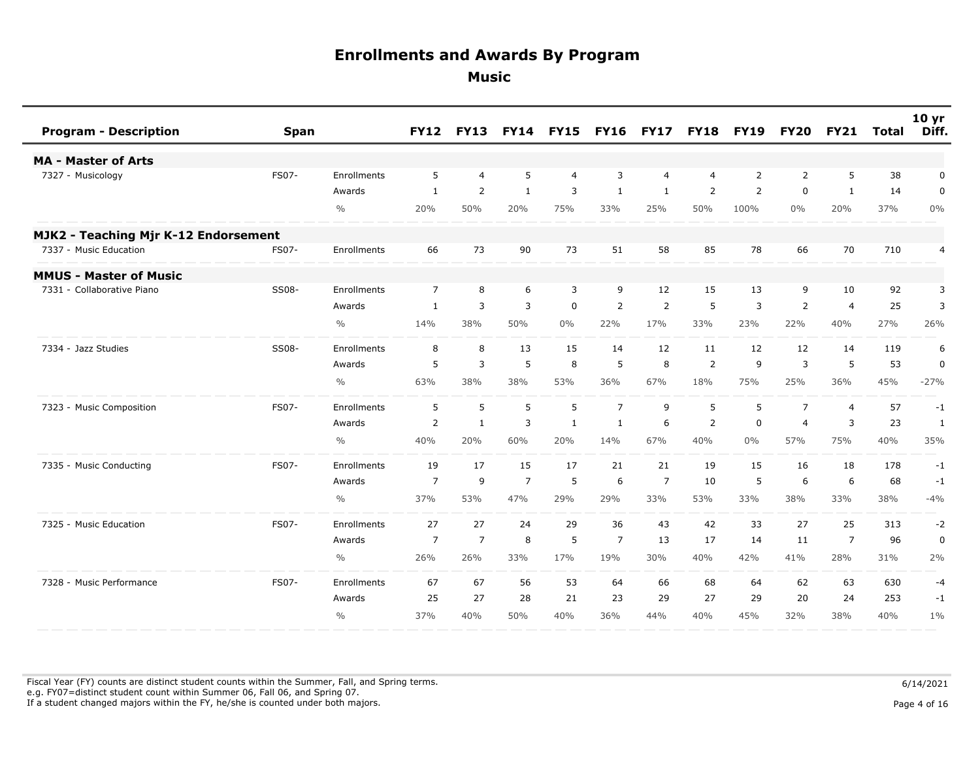| <b>Program - Description</b>         | <b>Span</b> |               | <b>FY12</b>    | <b>FY13</b>    |                | <b>FY14 FY15</b> | <b>FY16 FY17</b> |                | <b>FY18</b>    | <b>FY19</b>    | <b>FY20</b>    | <b>FY21</b>    | Total | 10 yr<br>Diff. |
|--------------------------------------|-------------|---------------|----------------|----------------|----------------|------------------|------------------|----------------|----------------|----------------|----------------|----------------|-------|----------------|
| <b>MA - Master of Arts</b>           |             |               |                |                |                |                  |                  |                |                |                |                |                |       |                |
| 7327 - Musicology                    | FS07-       | Enrollments   | 5              | $\overline{4}$ | 5              | $\overline{4}$   | 3                | 4              | $\overline{4}$ | 2              | 2              | 5              | 38    | 0              |
|                                      |             | Awards        | $\mathbf{1}$   | 2              | $\mathbf{1}$   | 3                | $\mathbf{1}$     | $\mathbf{1}$   | $\overline{2}$ | $\overline{2}$ | $\mathbf 0$    | $\mathbf{1}$   | 14    | $\mathbf 0$    |
|                                      |             | $\frac{0}{0}$ | 20%            | 50%            | 20%            | 75%              | 33%              | 25%            | 50%            | 100%           | $0\%$          | 20%            | 37%   | $0\%$          |
| MJK2 - Teaching Mjr K-12 Endorsement |             |               |                |                |                |                  |                  |                |                |                |                |                |       |                |
| 7337 - Music Education               | FS07-       | Enrollments   | 66             | 73             | 90             | 73               | 51               | 58             | 85             | 78             | 66             | 70             | 710   | 4              |
| <b>MMUS - Master of Music</b>        |             |               |                |                |                |                  |                  |                |                |                |                |                |       |                |
| 7331 - Collaborative Piano           | SS08-       | Enrollments   | $\overline{7}$ | 8              | 6              | 3                | 9                | 12             | 15             | 13             | 9              | 10             | 92    | 3              |
|                                      |             | Awards        | $\mathbf{1}$   | 3              | 3              | $\mathbf 0$      | $\overline{2}$   | $\overline{2}$ | 5              | 3              | $\overline{2}$ | $\overline{4}$ | 25    | 3              |
|                                      |             | $\frac{0}{0}$ | 14%            | 38%            | 50%            | $0\%$            | 22%              | 17%            | 33%            | 23%            | 22%            | 40%            | 27%   | 26%            |
| 7334 - Jazz Studies                  | SS08-       | Enrollments   | 8              | 8              | 13             | 15               | 14               | 12             | 11             | 12             | 12             | 14             | 119   | 6              |
|                                      |             | Awards        | 5              | 3              | 5              | 8                | 5                | 8              | 2              | 9              | 3              | 5              | 53    | 0              |
|                                      |             | $\frac{0}{0}$ | 63%            | 38%            | 38%            | 53%              | 36%              | 67%            | 18%            | 75%            | 25%            | 36%            | 45%   | $-27%$         |
| 7323 - Music Composition             | FS07-       | Enrollments   | 5              | 5              | 5              | 5                | $\overline{7}$   | 9              | 5              | 5              | $\overline{7}$ | $\overline{4}$ | 57    | $-1$           |
|                                      |             | Awards        | $\overline{2}$ | $\mathbf{1}$   | 3              | $\mathbf{1}$     | 1                | 6              | $\overline{2}$ | $\mathbf 0$    | $\overline{4}$ | 3              | 23    | $\mathbf{1}$   |
|                                      |             | $\frac{0}{0}$ | 40%            | 20%            | 60%            | 20%              | 14%              | 67%            | 40%            | $0\%$          | 57%            | 75%            | 40%   | 35%            |
| 7335 - Music Conducting              | FS07-       | Enrollments   | 19             | 17             | 15             | 17               | 21               | 21             | 19             | 15             | 16             | 18             | 178   | $-1$           |
|                                      |             | Awards        | $\overline{7}$ | 9              | $\overline{7}$ | 5                | 6                | $\overline{7}$ | 10             | 5              | 6              | 6              | 68    | $-1$           |
|                                      |             | $\frac{0}{0}$ | 37%            | 53%            | 47%            | 29%              | 29%              | 33%            | 53%            | 33%            | 38%            | 33%            | 38%   | $-4%$          |
| 7325 - Music Education               | FS07-       | Enrollments   | 27             | 27             | 24             | 29               | 36               | 43             | 42             | 33             | 27             | 25             | 313   | $-2$           |
|                                      |             | Awards        | $\overline{7}$ | $\overline{7}$ | 8              | 5                | 7                | 13             | 17             | 14             | 11             | $\overline{7}$ | 96    | $\mathbf 0$    |
|                                      |             | $\frac{0}{0}$ | 26%            | 26%            | 33%            | 17%              | 19%              | 30%            | 40%            | 42%            | 41%            | 28%            | 31%   | 2%             |
| 7328 - Music Performance             | FS07-       | Enrollments   | 67             | 67             | 56             | 53               | 64               | 66             | 68             | 64             | 62             | 63             | 630   | -4             |
|                                      |             | Awards        | 25             | 27             | 28             | 21               | 23               | 29             | 27             | 29             | 20             | 24             | 253   | $-1$           |
|                                      |             | $\frac{0}{0}$ | 37%            | 40%            | 50%            | 40%              | 36%              | 44%            | 40%            | 45%            | 32%            | 38%            | 40%   | $1\%$          |

Fiscal Year (FY) counts are distinct student counts within the Summer, Fall, and Spring terms.  $6/14/2021$  e.g. FY07=distinct student count within Summer 06, Fall 06, and Spring 07. If a student changed majors within the FY, he/she is counted under both majors. Page 4 of 16

Page 4 of 16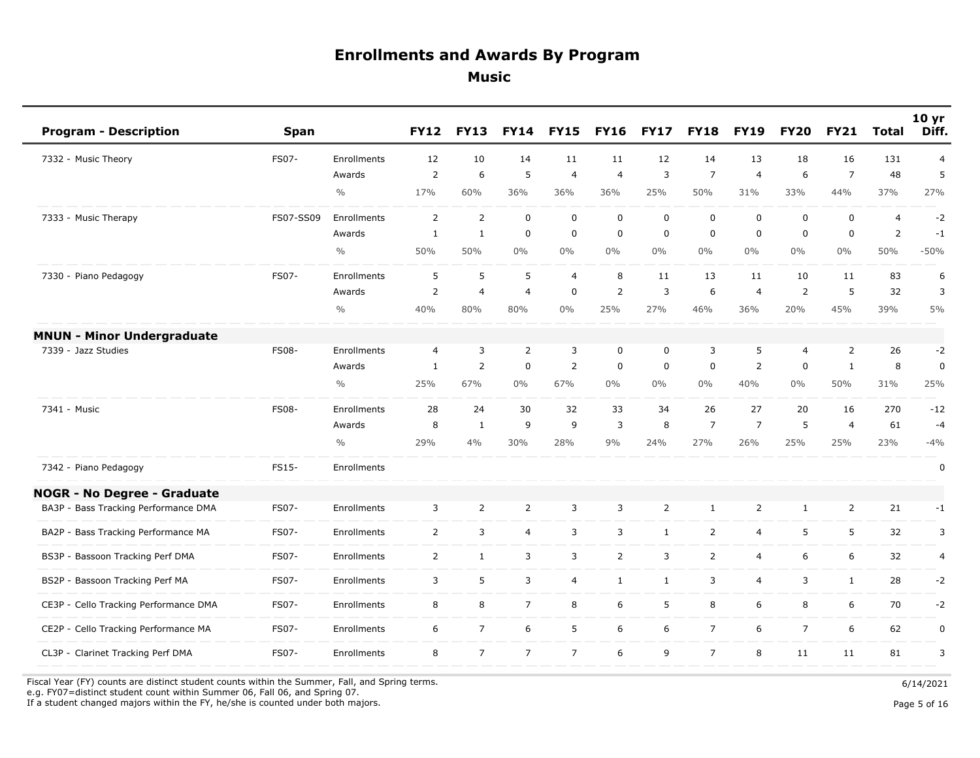| <b>Program - Description</b>          | <b>Span</b>  |               | <b>FY12</b>    | <b>FY13</b>    | <b>FY14</b>    | <b>FY15</b>    | <b>FY16</b>    | <b>FY17</b>      | <b>FY18</b>    | <b>FY19</b>    | <b>FY20</b>    | <b>FY21</b>    | <b>Total</b>   | 10 <sub>yr</sub><br>Diff. |
|---------------------------------------|--------------|---------------|----------------|----------------|----------------|----------------|----------------|------------------|----------------|----------------|----------------|----------------|----------------|---------------------------|
| 7332 - Music Theory                   | FS07-        | Enrollments   | 12             | 10             | 14             | 11             | 11             | 12               | 14             | 13             | 18             | 16             | 131            | $\overline{4}$            |
|                                       |              | Awards        | $\overline{2}$ | 6              | 5              | $\overline{4}$ | $\overline{4}$ | 3                | $\overline{7}$ | $\overline{4}$ | 6              | $\overline{7}$ | 48             | 5                         |
|                                       |              | $\frac{0}{0}$ | 17%            | 60%            | 36%            | 36%            | 36%            | 25%              | 50%            | 31%            | 33%            | 44%            | 37%            | 27%                       |
| 7333 - Music Therapy                  | FS07-SS09    | Enrollments   | $\overline{2}$ | $\overline{2}$ | $\mathbf 0$    | $\mathsf 0$    | $\mathbf 0$    | $\mathbf 0$      | $\mathbf 0$    | $\mathbf 0$    | 0              | $\mathbf 0$    | $\overline{4}$ | $-2$                      |
|                                       |              | Awards        | $\mathbf{1}$   | $\mathbf{1}$   | $\mathbf 0$    | $\mathbf 0$    | $\Omega$       | $\mathbf 0$      | $\mathbf 0$    | $\mathbf{0}$   | $\Omega$       | $\mathbf 0$    | $\overline{2}$ | $-1$                      |
|                                       |              | $\frac{0}{0}$ | 50%            | 50%            | $0\%$          | $0\%$          | $0\%$          | $0\%$            | $0\%$          | $0\%$          | $0\%$          | $0\%$          | 50%            | $-50%$                    |
| 7330 - Piano Pedagogy                 | FS07-        | Enrollments   | 5              | 5              | 5              | $\overline{4}$ | 8              | 11               | 13             | 11             | 10             | 11             | 83             | 6                         |
|                                       |              | Awards        | $\overline{2}$ | $\overline{4}$ | $\overline{4}$ | $\mathbf 0$    | $\overline{2}$ | 3                | 6              | $\overline{4}$ | 2              | 5              | 32             | 3                         |
|                                       |              | $\frac{0}{0}$ | 40%            | 80%            | 80%            | $0\%$          | 25%            | 27%              | 46%            | 36%            | 20%            | 45%            | 39%            | 5%                        |
| <b>MNUN - Minor Undergraduate</b>     |              |               |                |                |                |                |                |                  |                |                |                |                |                |                           |
| 7339 - Jazz Studies                   | <b>FS08-</b> | Enrollments   | $\overline{4}$ | 3              | $\overline{2}$ | 3              | 0              | $\boldsymbol{0}$ | 3              | 5              | 4              | $\overline{2}$ | 26             | $-2$                      |
|                                       |              | Awards        | $\mathbf{1}$   | $\overline{2}$ | $\mathbf 0$    | $\overline{2}$ | 0              | $\mathbf 0$      | $\mathbf 0$    | $\overline{2}$ | $\mathbf 0$    | $\mathbf{1}$   | 8              | $\mathbf 0$               |
|                                       |              | $\frac{0}{0}$ | 25%            | 67%            | $0\%$          | 67%            | $0\%$          | $0\%$            | $0\%$          | 40%            | $0\%$          | 50%            | 31%            | 25%                       |
| 7341 - Music                          | <b>FS08-</b> | Enrollments   | 28             | 24             | 30             | 32             | 33             | 34               | 26             | 27             | 20             | 16             | 270            | $-12$                     |
|                                       |              | Awards        | 8              | $\mathbf{1}$   | 9              | 9              | 3              | 8                | $\overline{7}$ | $\overline{7}$ | 5              | $\overline{4}$ | 61             | $-4$                      |
|                                       |              | $\frac{0}{0}$ | 29%            | 4%             | 30%            | 28%            | 9%             | 24%              | 27%            | 26%            | 25%            | 25%            | 23%            | $-4%$                     |
| 7342 - Piano Pedagogy                 | FS15-        | Enrollments   |                |                |                |                |                |                  |                |                |                |                |                | 0                         |
| <b>NOGR - No Degree - Graduate</b>    |              |               |                |                |                |                |                |                  |                |                |                |                |                |                           |
| BA3P - Bass Tracking Performance DMA  | <b>FS07-</b> | Enrollments   | 3              | $\overline{2}$ | $\overline{2}$ | $\overline{3}$ | 3              | 2                | $\mathbf{1}$   | $\overline{2}$ | $\mathbf{1}$   | $\overline{2}$ | 21             | $-1$                      |
| BA2P - Bass Tracking Performance MA   | FS07-        | Enrollments   | $\overline{2}$ | 3              | $\overline{4}$ | 3              | 3              | $\mathbf{1}$     | $\overline{2}$ | $\overline{4}$ | 5              | 5              | 32             | 3                         |
| BS3P - Bassoon Tracking Perf DMA      | FS07-        | Enrollments   | $\overline{2}$ | $\mathbf{1}$   | 3              | 3              | $\overline{2}$ | 3                | $\overline{2}$ | $\overline{4}$ | 6              | 6              | 32             | 4                         |
| BS2P - Bassoon Tracking Perf MA       | <b>FS07-</b> | Enrollments   | 3              | 5              | 3              | $\overline{4}$ | $\mathbf{1}$   | $\mathbf{1}$     | 3              | $\overline{4}$ | 3              | $\mathbf{1}$   | 28             | $-2$                      |
| CE3P - Cello Tracking Performance DMA | FS07-        | Enrollments   | 8              | 8              | $\overline{7}$ | 8              | 6              | 5                | 8              | 6              | 8              | 6              | 70             | $-2$                      |
| CE2P - Cello Tracking Performance MA  | <b>FS07-</b> | Enrollments   | 6              | $\overline{7}$ | 6              | 5              | 6              | 6                | $\overline{7}$ | 6              | $\overline{7}$ | 6              | 62             | $\pmb{0}$                 |
| CL3P - Clarinet Tracking Perf DMA     | FS07-        | Enrollments   | 8              | $\overline{7}$ | $\overline{7}$ | $\overline{7}$ | 6              | 9                | $\overline{7}$ | 8              | 11             | 11             | 81             | 3                         |

Fiscal Year (FY) counts are distinct student counts within the Summer, Fall, and Spring terms.  $6/14/2021$ e.g. FY07=distinct student count within Summer 06, Fall 06, and Spring 07.

If a student changed majors within the FY, he/she is counted under both majors. Page 5 of 16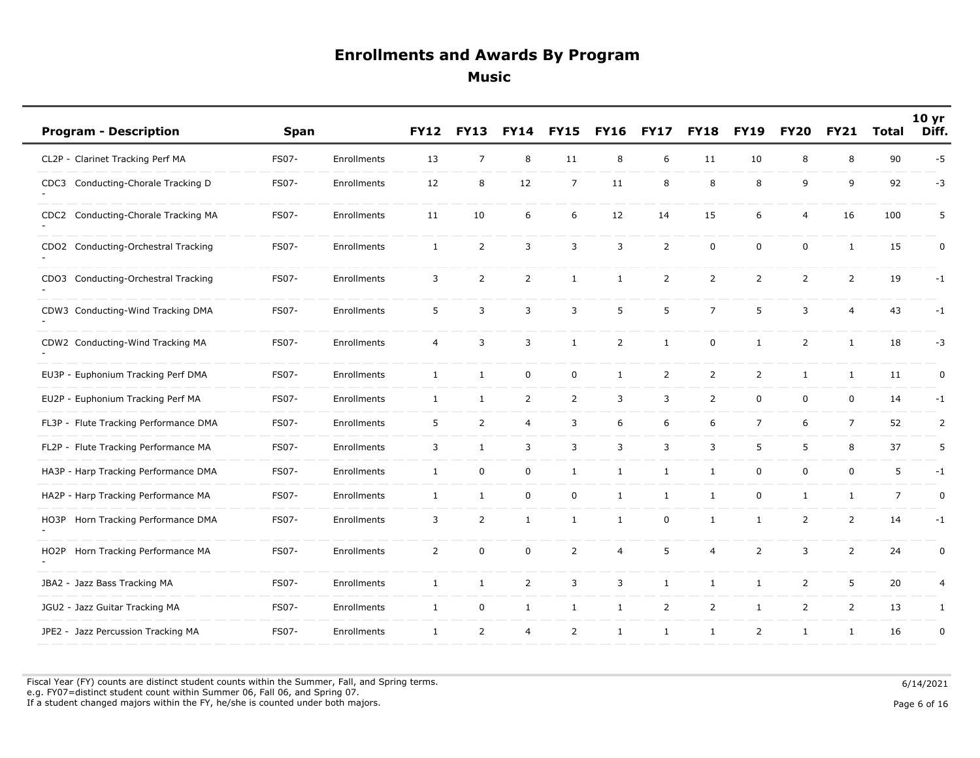| <b>Program - Description</b>                      | <b>Span</b>  |             | <b>FY12</b>    | <b>FY13</b>    | <b>FY14</b>    | <b>FY15</b>    | <b>FY16</b>    | <b>FY17</b>    | <b>FY18</b>    | <b>FY19</b>    | <b>FY20</b>    | <b>FY21</b>    | <b>Total</b>   | 10 <sub>yr</sub><br>Diff. |
|---------------------------------------------------|--------------|-------------|----------------|----------------|----------------|----------------|----------------|----------------|----------------|----------------|----------------|----------------|----------------|---------------------------|
| CL2P - Clarinet Tracking Perf MA                  | FS07-        | Enrollments | 13             | $\overline{7}$ | 8              | 11             | 8              | 6              | 11             | 10             | 8              | 8              | 90             | $-5$                      |
| Conducting-Chorale Tracking D<br>CDC3             | FS07-        | Enrollments | 12             | 8              | 12             | $\overline{7}$ | 11             | 8              | 8              | 8              | 9              | 9              | 92             | -3                        |
| Conducting-Chorale Tracking MA<br>CDC2            | FS07-        | Enrollments | 11             | 10             | 6              | 6              | 12             | 14             | 15             | 6              | $\overline{4}$ | 16             | 100            | 5                         |
| CDO2 Conducting-Orchestral Tracking               | FS07-        | Enrollments | $\mathbf{1}$   | $\overline{2}$ | 3              | 3              | 3              | 2              | $\mathbf 0$    | $\mathbf 0$    | $\mathbf 0$    | $\mathbf{1}$   | 15             | 0                         |
| CDO3 Conducting-Orchestral Tracking               | FS07-        | Enrollments | 3              | $\overline{2}$ | $\overline{2}$ | $\mathbf{1}$   | $\mathbf{1}$   | $\overline{2}$ | $\overline{2}$ | $\overline{2}$ | $\overline{2}$ | $\overline{2}$ | 19             | $-1$                      |
| CDW3 Conducting-Wind Tracking DMA                 | FS07-        | Enrollments | 5              | 3              | 3              | 3              | 5              | 5              | $\overline{7}$ | 5              | 3              | $\overline{4}$ | 43             | $-1$                      |
| CDW2 Conducting-Wind Tracking MA                  | FS07-        | Enrollments | $\overline{4}$ | 3              | 3              | $\mathbf{1}$   | $\overline{2}$ | $\mathbf{1}$   | $\mathbf 0$    | $\mathbf{1}$   | $\overline{2}$ | $\mathbf{1}$   | 18             | $-3$                      |
| EU3P - Euphonium Tracking Perf DMA                | FS07-        | Enrollments | $\mathbf{1}$   | $\mathbf{1}$   | $\mathbf 0$    | 0              | $\mathbf{1}$   | 2              | $\overline{2}$ | $\overline{2}$ | $\mathbf{1}$   | $\mathbf{1}$   | 11             | $\pmb{0}$                 |
| EU2P - Euphonium Tracking Perf MA                 | <b>FS07-</b> | Enrollments | $\mathbf{1}$   | $\mathbf{1}$   | 2              | $\overline{2}$ | 3              | 3              | $\overline{2}$ | 0              | $\mathbf 0$    | 0              | 14             | $-1$                      |
| FL3P - Flute Tracking Performance DMA             | FS07-        | Enrollments | 5              | $\overline{2}$ | $\overline{4}$ | 3              | 6              | 6              | 6              | $\overline{7}$ | 6              | $\overline{7}$ | 52             | 2                         |
| FL2P - Flute Tracking Performance MA              | FS07-        | Enrollments | 3              | $\mathbf{1}$   | 3              | 3              | 3              | 3              | 3              | 5              | 5              | 8              | 37             | 5                         |
| HA3P - Harp Tracking Performance DMA              | FS07-        | Enrollments | $\mathbf{1}$   | $\mathbf 0$    | 0              | $\mathbf{1}$   | $\mathbf{1}$   | $\mathbf{1}$   | 1              | $\mathbf 0$    | $\mathbf 0$    | $\mathbf 0$    | 5              | $-1$                      |
| HA2P - Harp Tracking Performance MA               | FS07-        | Enrollments | $\mathbf{1}$   | $\mathbf{1}$   | $\mathbf 0$    | 0              | $\mathbf{1}$   | $\mathbf{1}$   | $\mathbf{1}$   | $\mathbf 0$    | $\mathbf{1}$   | $\mathbf{1}$   | $\overline{7}$ | $\pmb{0}$                 |
| Horn Tracking Performance DMA<br>HO3P             | FS07-        | Enrollments | 3              | $\overline{2}$ | $\mathbf{1}$   | $\mathbf{1}$   | $\mathbf{1}$   | 0              | $\mathbf{1}$   | $\mathbf{1}$   | 2              | $\overline{2}$ | 14             | $-1$                      |
| Horn Tracking Performance MA<br>HO <sub>2</sub> P | FS07-        | Enrollments | $\overline{2}$ | $\mathsf 0$    | 0              | $\overline{2}$ | 4              | 5              | $\overline{4}$ | $\overline{2}$ | 3              | $\overline{2}$ | 24             | $\pmb{0}$                 |
| JBA2 - Jazz Bass Tracking MA                      | FS07-        | Enrollments | $\mathbf{1}$   | $\mathbf{1}$   | $\overline{2}$ | 3              | 3              | $\mathbf{1}$   | $\mathbf{1}$   | $\mathbf{1}$   | $\overline{2}$ | 5              | 20             | $\overline{4}$            |
| JGU2 - Jazz Guitar Tracking MA                    | FS07-        | Enrollments | $\mathbf{1}$   | $\mathbf 0$    | $\mathbf{1}$   | $\mathbf{1}$   | $\mathbf{1}$   | $\overline{2}$ | $\overline{2}$ | $\mathbf{1}$   | $\overline{2}$ | $\overline{2}$ | 13             | 1                         |
| JPE2 - Jazz Percussion Tracking MA                | FS07-        | Enrollments | $\mathbf{1}$   | 2              | $\overline{4}$ | $\overline{2}$ | $\mathbf{1}$   | $\mathbf{1}$   | $\mathbf{1}$   | 2              | $\mathbf{1}$   | 1              | 16             | $\pmb{0}$                 |

Fiscal Year (FY) counts are distinct student counts within the Summer, Fall, and Spring terms.  $6/14/2021$  e.g. FY07=distinct student count within Summer 06, Fall 06, and Spring 07. If a student changed majors within the FY, he/she is counted under both majors. Page 6 of 16

Page 6 of 16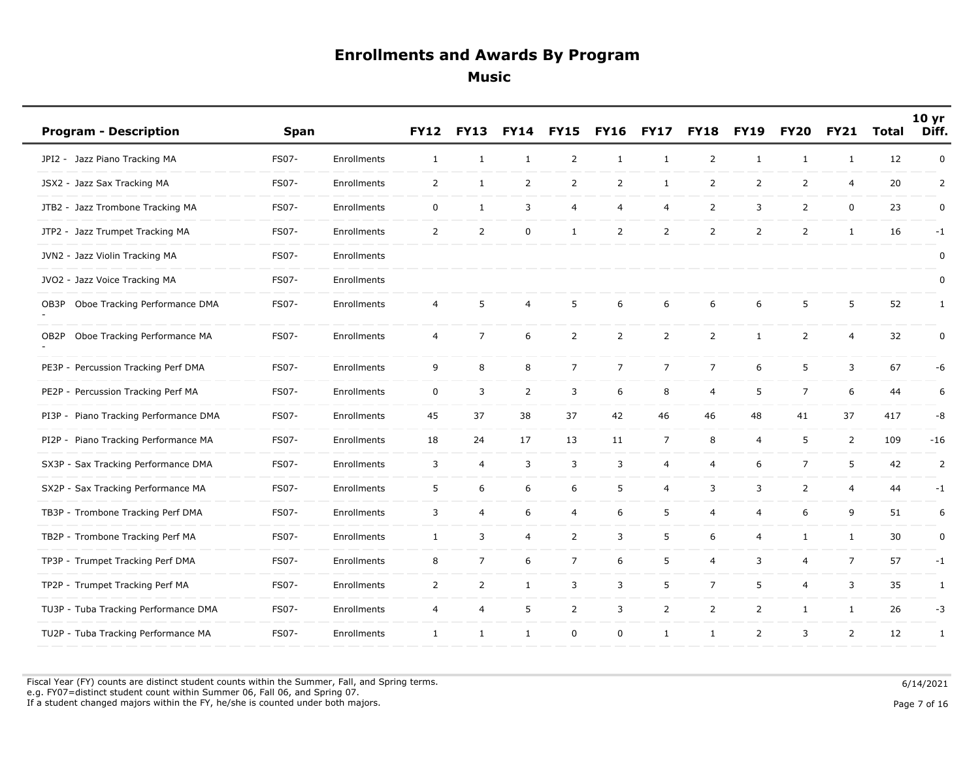| <b>Program - Description</b>          | <b>Span</b>  |             | <b>FY12</b>    | <b>FY13</b>    | <b>FY14</b>    | <b>FY15</b>     | <b>FY16</b>    | <b>FY17</b>    | <b>FY18</b>    | <b>FY19</b>    | <b>FY20</b>    | <b>FY21</b>    | Total | 10 <sub>yr</sub><br>Diff. |
|---------------------------------------|--------------|-------------|----------------|----------------|----------------|-----------------|----------------|----------------|----------------|----------------|----------------|----------------|-------|---------------------------|
| JPI2 - Jazz Piano Tracking MA         | FS07-        | Enrollments | $\mathbf{1}$   | $\mathbf{1}$   | $\mathbf{1}$   | $\overline{2}$  | $\mathbf{1}$   | 1              | $\overline{2}$ | $\mathbf{1}$   | $\mathbf{1}$   | 1              | 12    | $\mathbf 0$               |
| JSX2 - Jazz Sax Tracking MA           | FS07-        | Enrollments | $\overline{2}$ | $\mathbf{1}$   | $\overline{2}$ | $\overline{2}$  | $\overline{2}$ | $\mathbf{1}$   | $\overline{2}$ | $\overline{2}$ | $\overline{2}$ | $\overline{4}$ | 20    | 2                         |
| JTB2 - Jazz Trombone Tracking MA      | FS07-        | Enrollments | $\mathsf{O}$   | $\mathbf{1}$   | 3              | 4               | 4              | $\overline{4}$ | $\overline{2}$ | 3              | $\overline{2}$ | $\mathbf 0$    | 23    | 0                         |
| JTP2 - Jazz Trumpet Tracking MA       | FS07-        | Enrollments | 2              | 2              | 0              | $\mathbf{1}$    | $\overline{2}$ | 2              | $\overline{2}$ | $\overline{2}$ | $\overline{2}$ | 1              | 16    | $-1$                      |
| JVN2 - Jazz Violin Tracking MA        | <b>FS07-</b> | Enrollments |                |                |                |                 |                |                |                |                |                |                |       | 0                         |
| JVO2 - Jazz Voice Tracking MA         | FS07-        | Enrollments |                |                |                |                 |                |                |                |                |                |                |       | 0                         |
| Oboe Tracking Performance DMA<br>OB3P | FS07-        | Enrollments | 4              | 5              | 4              | 5               | 6              | 6              | 6              | 6              | 5              | 5              | 52    | $\mathbf{1}$              |
| Oboe Tracking Performance MA<br>OB2P  | FS07-        | Enrollments | 4              | $\overline{7}$ | 6              | $\overline{2}$  | $\overline{2}$ | $\overline{2}$ | $\overline{2}$ | $\mathbf{1}$   | $\overline{2}$ | $\overline{4}$ | 32    | $\pmb{0}$                 |
| PE3P - Percussion Tracking Perf DMA   | FS07-        | Enrollments | 9              | 8              | 8              | $7\overline{ }$ | $\overline{7}$ | $\overline{7}$ | $\overline{7}$ | 6              | 5              | 3              | 67    | -6                        |
| PE2P - Percussion Tracking Perf MA    | FS07-        | Enrollments | $\mathbf 0$    | 3              | $\overline{2}$ | 3               | 6              | 8              | 4              | 5              | $\overline{7}$ | 6              | 44    | 6                         |
| PI3P - Piano Tracking Performance DMA | FS07-        | Enrollments | 45             | 37             | 38             | 37              | 42             | 46             | 46             | 48             | 41             | 37             | 417   | -8                        |
| PI2P - Piano Tracking Performance MA  | FS07-        | Enrollments | 18             | 24             | 17             | 13              | 11             | $\overline{7}$ | 8              | 4              | 5              | $\overline{2}$ | 109   | $-16$                     |
| SX3P - Sax Tracking Performance DMA   | FS07-        | Enrollments | 3              | $\overline{4}$ | 3              | 3               | 3              | $\overline{a}$ | 4              | 6              | $\overline{7}$ | 5              | 42    | 2                         |
| SX2P - Sax Tracking Performance MA    | FS07-        | Enrollments | 5              | 6              | 6              | 6               | 5              | $\overline{4}$ | 3              | 3              | $\overline{2}$ | $\overline{4}$ | 44    | $-1$                      |
| TB3P - Trombone Tracking Perf DMA     | FS07-        | Enrollments | 3              | 4              | 6              | 4               | 6              | 5              | 4              | 4              | 6              | 9              | 51    | 6                         |
| TB2P - Trombone Tracking Perf MA      | FS07-        | Enrollments | $\mathbf{1}$   | 3              | $\overline{4}$ | $\overline{2}$  | 3              | 5              | 6              | $\overline{4}$ | $\mathbf{1}$   | $\mathbf{1}$   | 30    | $\mathbf 0$               |
| TP3P - Trumpet Tracking Perf DMA      | FS07-        | Enrollments | 8              | $\overline{7}$ | 6              | $\overline{7}$  | 6              | 5              | $\overline{4}$ | 3              | $\overline{4}$ | $\overline{7}$ | 57    | $-1$                      |
| TP2P - Trumpet Tracking Perf MA       | FS07-        | Enrollments | $\overline{2}$ | $\overline{2}$ | $\mathbf{1}$   | 3               | 3              | $\sqrt{5}$     | $\overline{7}$ | 5              | 4              | 3              | 35    | $\mathbf{1}$              |
| TU3P - Tuba Tracking Performance DMA  | FS07-        | Enrollments | $\overline{4}$ | $\overline{4}$ | 5              | $\overline{2}$  | 3              | 2              | $\overline{2}$ | $\overline{2}$ | $\mathbf{1}$   | $\mathbf{1}$   | 26    | $-3$                      |
| TU2P - Tuba Tracking Performance MA   | FS07-        | Enrollments | 1              | $\mathbf{1}$   | $\mathbf{1}$   | $\mathbf 0$     | $\mathbf{0}$   | 1              | $\mathbf{1}$   | 2              | 3              | $\overline{2}$ | 12    | 1                         |

Fiscal Year (FY) counts are distinct student counts within the Summer, Fall, and Spring terms.  $6/14/2021$  e.g. FY07=distinct student count within Summer 06, Fall 06, and Spring 07. If a student changed majors within the FY, he/she is counted under both majors. Page 7 of 16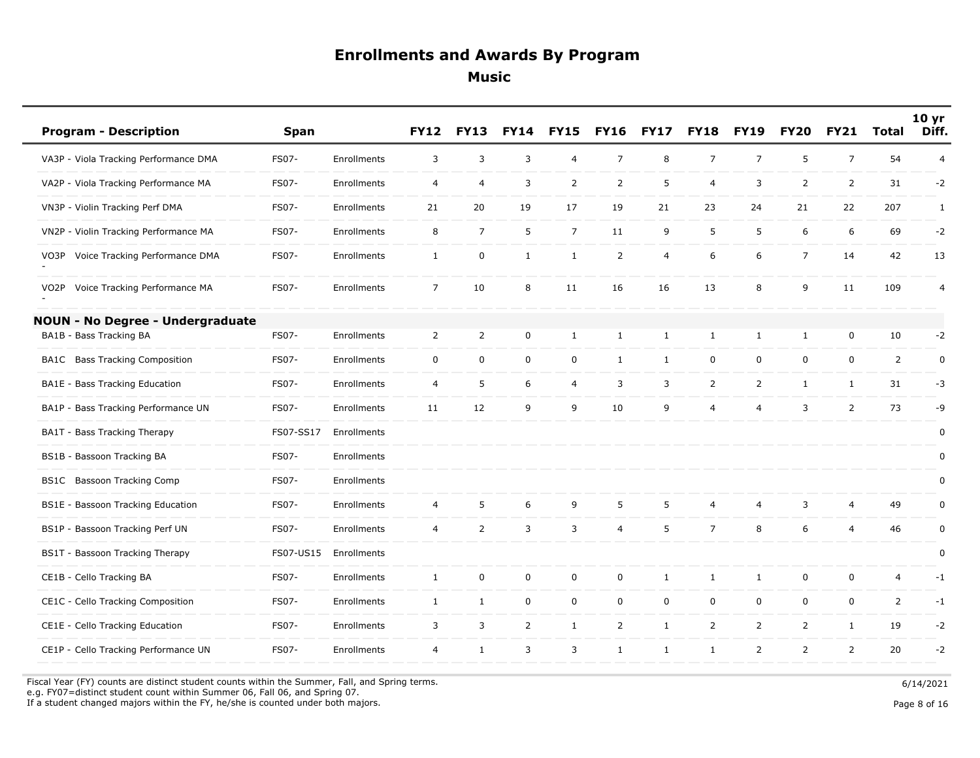|                   | <b>Program - Description</b>            | <b>Span</b>  |             | <b>FY12</b>    | <b>FY13</b>    | <b>FY14</b>    | <b>FY15</b>    | <b>FY16</b>    | <b>FY17</b>    | <b>FY18</b>    | <b>FY19</b>    | <b>FY20</b>    | <b>FY21</b>    | <b>Total</b>   | 10 <sub>yr</sub><br>Diff. |
|-------------------|-----------------------------------------|--------------|-------------|----------------|----------------|----------------|----------------|----------------|----------------|----------------|----------------|----------------|----------------|----------------|---------------------------|
|                   | VA3P - Viola Tracking Performance DMA   | FS07-        | Enrollments | 3              | 3              | 3              | $\overline{4}$ | $\overline{7}$ | 8              | $\overline{7}$ | $\overline{7}$ | 5              | $\overline{7}$ | 54             | $\overline{4}$            |
|                   | VA2P - Viola Tracking Performance MA    | FS07-        | Enrollments | 4              | 4              | 3              | $\overline{2}$ | $\overline{2}$ | 5              | 4              | 3              | $\overline{2}$ | $\overline{2}$ | 31             | $-2$                      |
|                   | VN3P - Violin Tracking Perf DMA         | FS07-        | Enrollments | 21             | 20             | 19             | 17             | 19             | 21             | 23             | 24             | 21             | 22             | 207            | $\mathbf{1}$              |
|                   | VN2P - Violin Tracking Performance MA   | FS07-        | Enrollments | 8              | $\overline{7}$ | 5              | $\overline{7}$ | 11             | 9              | 5              | 5              | 6              | 6              | 69             | $-2$                      |
| VO3P              | Voice Tracking Performance DMA          | FS07-        | Enrollments | $\mathbf{1}$   | $\mathsf 0$    | $\mathbf{1}$   | $\mathbf{1}$   | $\overline{2}$ | $\overline{4}$ | 6              | 6              | $\overline{7}$ | 14             | 42             | 13                        |
| VO <sub>2</sub> P | Voice Tracking Performance MA           | FS07-        | Enrollments | $\overline{7}$ | 10             | 8              | 11             | 16             | 16             | 13             | 8              | 9              | 11             | 109            | $\overline{4}$            |
|                   | <b>NOUN - No Degree - Undergraduate</b> |              |             |                |                |                |                |                |                |                |                |                |                |                |                           |
|                   | BA1B - Bass Tracking BA                 | FS07-        | Enrollments | $\overline{2}$ | $\mathsf{2}$   | $\mathbf 0$    | $\mathbf{1}$   | $\mathbf{1}$   | 1              | $\mathbf{1}$   | $\mathbf{1}$   | $\mathbf{1}$   | $\mathbf 0$    | 10             | $-2$                      |
|                   | <b>BA1C</b> Bass Tracking Composition   | FS07-        | Enrollments | $\mathbf 0$    | $\mathbf 0$    | $\mathbf 0$    | $\mathbf 0$    | $\mathbf{1}$   | $\mathbf{1}$   | $\mathbf 0$    | $\mathbf 0$    | $\mathsf{O}$   | $\mathsf{O}$   | $\overline{2}$ | $\pmb{0}$                 |
|                   | BA1E - Bass Tracking Education          | FS07-        | Enrollments | $\overline{4}$ | 5              | 6              | $\overline{4}$ | 3              | 3              | $\overline{2}$ | $\overline{2}$ | $\mathbf{1}$   | 1              | 31             | $-3$                      |
|                   | BA1P - Bass Tracking Performance UN     | FS07-        | Enrollments | 11             | 12             | 9              | 9              | 10             | 9              | $\overline{4}$ | $\overline{4}$ | 3              | $\overline{2}$ | 73             | -9                        |
|                   | BA1T - Bass Tracking Therapy            | FS07-SS17    | Enrollments |                |                |                |                |                |                |                |                |                |                |                | 0                         |
|                   | BS1B - Bassoon Tracking BA              | FS07-        | Enrollments |                |                |                |                |                |                |                |                |                |                |                | 0                         |
| BS1C              | <b>Bassoon Tracking Comp</b>            | FS07-        | Enrollments |                |                |                |                |                |                |                |                |                |                |                | 0                         |
|                   | BS1E - Bassoon Tracking Education       | FS07-        | Enrollments | $\overline{4}$ | 5              | 6              | 9              | 5              | 5              | $\overline{4}$ | 4              | 3              | $\overline{4}$ | 49             | $\mathbf 0$               |
|                   | BS1P - Bassoon Tracking Perf UN         | FS07-        | Enrollments | 4              | $\overline{2}$ | 3              | 3              | $\overline{4}$ | 5              | $\overline{7}$ | 8              | 6              | $\overline{4}$ | 46             | $\pmb{0}$                 |
|                   | BS1T - Bassoon Tracking Therapy         | FS07-US15    | Enrollments |                |                |                |                |                |                |                |                |                |                |                | $\pmb{0}$                 |
|                   | CE1B - Cello Tracking BA                | FS07-        | Enrollments | $\mathbf{1}$   | $\mathbf 0$    | $\mathbf 0$    | $\mathsf 0$    | $\mathbf 0$    | 1              | $\mathbf{1}$   | $\mathbf{1}$   | $\mathsf{O}$   | $\mathsf{O}$   | 4              | $-1$                      |
|                   | CE1C - Cello Tracking Composition       | FS07-        | Enrollments | $\mathbf{1}$   | $\mathbf{1}$   | $\mathbf 0$    | $\mathbf 0$    | $\mathbf{0}$   | $\mathbf 0$    | $\mathbf 0$    | $\mathbf 0$    | $\mathbf 0$    | $\mathbf 0$    | $\overline{2}$ | $-1$                      |
|                   | CE1E - Cello Tracking Education         | FS07-        | Enrollments | 3              | 3              | $\overline{2}$ | $\mathbf{1}$   | $\overline{2}$ | $\mathbf{1}$   | $\overline{2}$ | $\overline{2}$ | $\overline{2}$ | $\mathbf{1}$   | 19             | $-2$                      |
|                   | CE1P - Cello Tracking Performance UN    | <b>FS07-</b> | Enrollments | $\overline{4}$ | $\mathbf{1}$   | 3              | 3              | $\mathbf{1}$   | $\mathbf{1}$   | $\mathbf{1}$   | $\overline{2}$ | $\overline{2}$ | $\overline{2}$ | 20             | $-2$                      |
|                   |                                         |              |             |                |                |                |                |                |                |                |                |                |                |                |                           |

 Fiscal Year (FY) counts are distinct student counts within the Summer, Fall, and Spring terms. e.g. FY07=distinct student count within Summer 06, Fall 06, and Spring 07.

If a student changed majors within the FY, he/she is counted under both majors.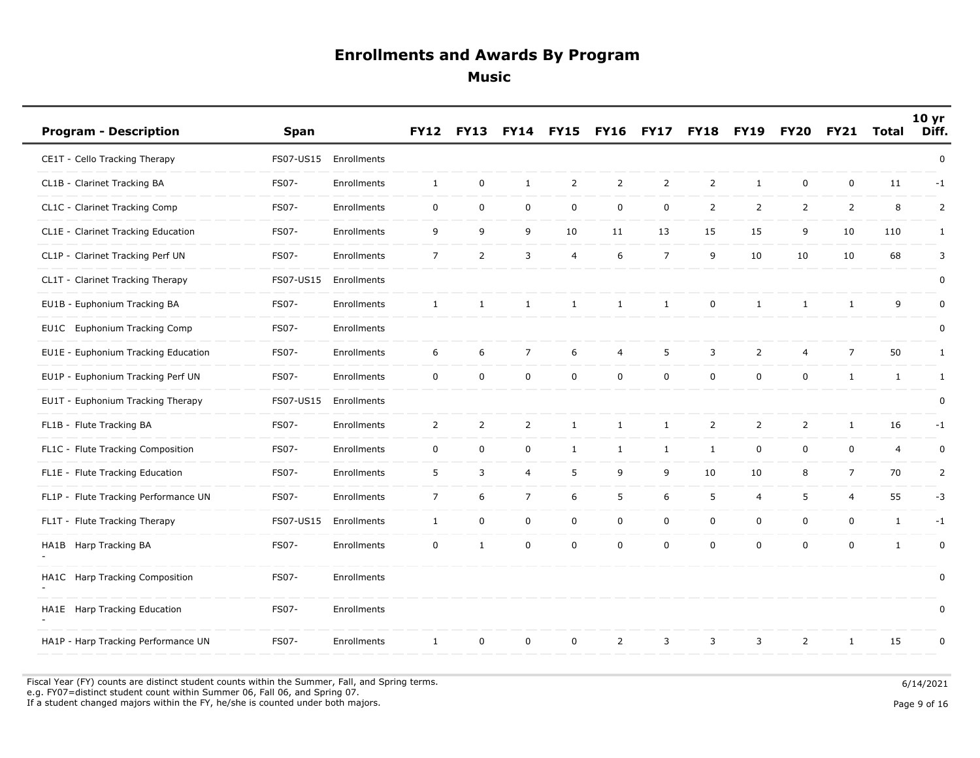| <b>Program - Description</b>         | Span         |             | <b>FY12</b>    | <b>FY13</b>    | <b>FY14</b>    | <b>FY15</b>    | <b>FY16</b>    | <b>FY17</b>    | <b>FY18</b>         | <b>FY19</b>    | <b>FY20</b>    | <b>FY21</b>    | Total          | 10 <sub>yr</sub><br>Diff. |
|--------------------------------------|--------------|-------------|----------------|----------------|----------------|----------------|----------------|----------------|---------------------|----------------|----------------|----------------|----------------|---------------------------|
| CE1T - Cello Tracking Therapy        | FS07-US15    | Enrollments |                |                |                |                |                |                |                     |                |                |                |                | $\pmb{0}$                 |
| CL1B - Clarinet Tracking BA          | FS07-        | Enrollments | $\mathbf{1}$   | $\mathbf 0$    | $\mathbf{1}$   | $\overline{2}$ | $\overline{2}$ | 2              | $\overline{2}$      | $\mathbf{1}$   | $\mathbf 0$    | $\mathbf 0$    | 11             | $-1$                      |
| CL1C - Clarinet Tracking Comp        | <b>FS07-</b> | Enrollments | $\mathbf 0$    | $\mathbf 0$    | $\mathsf 0$    | $\mathsf 0$    | $\mathsf{O}$   | 0              | $\overline{2}$      | $\overline{2}$ | $\overline{2}$ | $\overline{2}$ | 8              | 2                         |
| CL1E - Clarinet Tracking Education   | <b>FS07-</b> | Enrollments | 9              | 9              | 9              | 10             | 11             | 13             | 15                  | 15             | 9              | 10             | 110            | $\mathbf{1}$              |
| CL1P - Clarinet Tracking Perf UN     | FS07-        | Enrollments | $\overline{7}$ | 2              | 3              | 4              | 6              | $\overline{7}$ | 9                   | 10             | 10             | 10             | 68             | 3                         |
| CL1T - Clarinet Tracking Therapy     | FS07-US15    | Enrollments |                |                |                |                |                |                |                     |                |                |                |                | $\pmb{0}$                 |
| EU1B - Euphonium Tracking BA         | FS07-        | Enrollments | 1              | $\mathbf{1}$   | $\mathbf{1}$   | $\mathbf{1}$   | $\mathbf{1}$   | $\mathbf{1}$   | $\mathbf 0$         | $\mathbf{1}$   | $\mathbf{1}$   | 1              | 9              | $\pmb{0}$                 |
| EU1C Euphonium Tracking Comp         | <b>FS07-</b> | Enrollments |                |                |                |                |                |                |                     |                |                |                |                | 0                         |
| EU1E - Euphonium Tracking Education  | FS07-        | Enrollments | 6              | 6              | $\overline{7}$ | 6              | 4              | 5              | 3                   | $\overline{2}$ | $\overline{4}$ | $\overline{7}$ | 50             | $\mathbf{1}$              |
| EU1P - Euphonium Tracking Perf UN    | FS07-        | Enrollments | $\mathbf 0$    | $\mathsf 0$    | $\mathbf 0$    | $\mathbf 0$    | $\mathbf 0$    | $\mathsf 0$    | $\mathbf 0$         | $\mathbf 0$    | $\mathbf 0$    | $\mathbf{1}$   | $\mathbf{1}$   | $\mathbf{1}$              |
| EU1T - Euphonium Tracking Therapy    | FS07-US15    | Enrollments |                |                |                |                |                |                |                     |                |                |                |                | 0                         |
| FL1B - Flute Tracking BA             | FS07-        | Enrollments | $\overline{2}$ | $\overline{2}$ | $\overline{2}$ | $\mathbf{1}$   | $\mathbf{1}$   | $\mathbf{1}$   | $\overline{2}$      | $\overline{2}$ | $\overline{2}$ | $\mathbf{1}$   | 16             | $-1$                      |
| FL1C - Flute Tracking Composition    | FS07-        | Enrollments | $\mathsf{O}$   | $\mathbf 0$    | 0              | $\mathbf{1}$   | $\mathbf{1}$   | $\mathbf{1}$   | $\mathbf{1}$        | $\mathbf 0$    | $\mathbf 0$    | $\mathsf{O}$   | $\overline{4}$ | 0                         |
| FL1E - Flute Tracking Education      | FS07-        | Enrollments | 5              | 3              | $\overline{4}$ | 5              | 9              | 9              | 10                  | 10             | 8              | $\overline{7}$ | 70             | $\overline{2}$            |
| FL1P - Flute Tracking Performance UN | FS07-        | Enrollments | $\overline{7}$ | 6              | $\overline{7}$ | 6              | 5              | 6              | 5                   | 4              | 5              | $\overline{4}$ | 55             | $-3$                      |
| FL1T - Flute Tracking Therapy        | FS07-US15    | Enrollments | $\mathbf{1}$   | $\mathbf 0$    | $\mathsf 0$    | $\mathsf{O}$   | $\mathsf{O}$   | $\mathsf 0$    | $\mathsf{O}\xspace$ | $\mathbf 0$    | $\mathbf 0$    | $\mathbf 0$    | $\mathbf{1}$   | $-1$                      |
| Harp Tracking BA<br>HA1B             | FS07-        | Enrollments | $\mathsf{O}$   | $\mathbf{1}$   | 0              | $\mathbf 0$    | $\mathbf 0$    | $\mathsf 0$    | $\mathbf 0$         | $\mathbf 0$    | $\mathbf 0$    | $\mathbf 0$    | $\mathbf{1}$   | $\mathbf 0$               |
| HA1C Harp Tracking Composition       | FS07-        | Enrollments |                |                |                |                |                |                |                     |                |                |                |                | 0                         |
| HA1E Harp Tracking Education         | FS07-        | Enrollments |                |                |                |                |                |                |                     |                |                |                |                | 0                         |
| HA1P - Harp Tracking Performance UN  | <b>FS07-</b> | Enrollments | $\mathbf{1}$   | 0              | 0              | $\mathbf 0$    | $\overline{2}$ | 3              | 3                   | 3              | 2              | 1              | 15             | 0                         |

Fiscal Year (FY) counts are distinct student counts within the Summer, Fall, and Spring terms.  $6/14/2021$  e.g. FY07=distinct student count within Summer 06, Fall 06, and Spring 07. If a student changed majors within the FY, he/she is counted under both majors. Page 9 of 16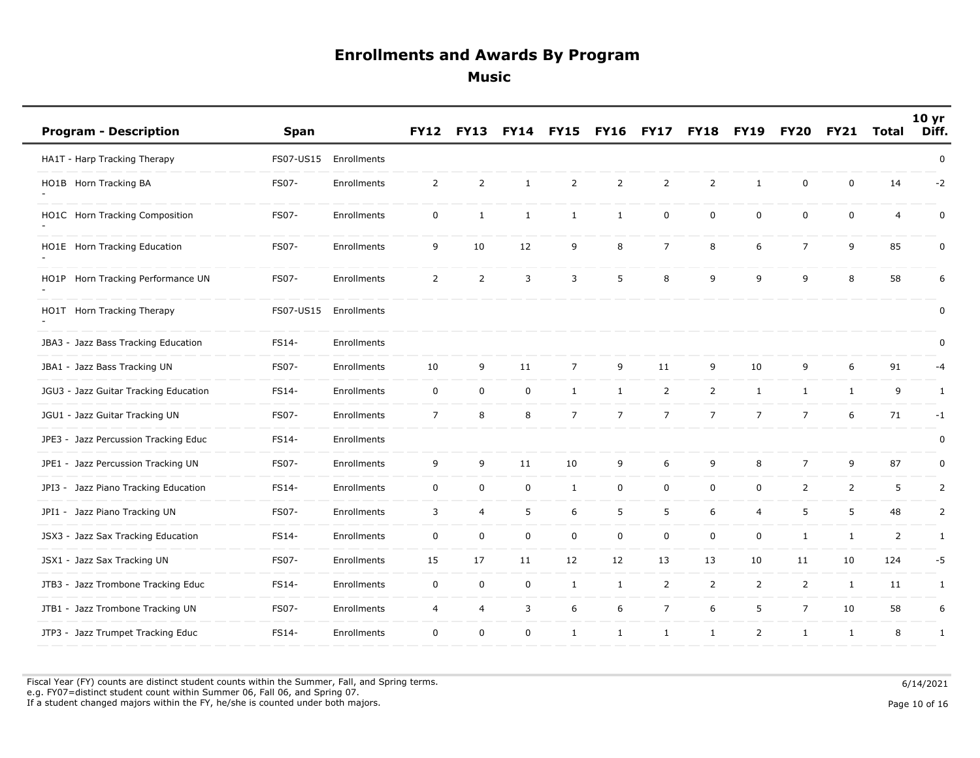| <b>Program - Description</b>          | <b>Span</b> |             | <b>FY12</b>      | <b>FY13</b>    |              | <b>FY15</b>    | <b>FY16</b>    | FY17           | <b>FY18</b>    | <b>FY19</b>    | <b>FY20</b>    | <b>FY21</b>    | <b>Total</b>   | 10 <sub>yr</sub><br>Diff. |
|---------------------------------------|-------------|-------------|------------------|----------------|--------------|----------------|----------------|----------------|----------------|----------------|----------------|----------------|----------------|---------------------------|
| HA1T - Harp Tracking Therapy          | FS07-US15   | Enrollments |                  |                |              |                |                |                |                |                |                |                |                | 0                         |
| HO1B Horn Tracking BA                 | FS07-       | Enrollments | $\overline{2}$   | $\overline{2}$ | $\mathbf{1}$ | $\overline{2}$ | $\overline{2}$ | $\overline{2}$ | $\overline{2}$ | $\mathbf{1}$   | $\mathbf 0$    | $\mathbf 0$    | 14             | $-2$                      |
| HO1C Horn Tracking Composition        | FS07-       | Enrollments | $\mathbf 0$      | $\mathbf{1}$   | $\mathbf{1}$ | $\mathbf{1}$   | $\mathbf{1}$   | 0              | $\mathbf 0$    | $\mathbf 0$    | $\mathbf 0$    | $\mathbf 0$    | 4              | 0                         |
| HO1E Horn Tracking Education          | FS07-       | Enrollments | 9                | 10             | 12           | 9              | 8              | $\overline{7}$ | 8              | 6              | $\overline{7}$ | 9              | 85             | $\mathbf 0$               |
| HO1P Horn Tracking Performance UN     | FS07-       | Enrollments | $\overline{2}$   | $\overline{2}$ | 3            | 3              | 5              | 8              | 9              | 9              | 9              | 8              | 58             | 6                         |
| HO1T Horn Tracking Therapy            | FS07-US15   | Enrollments |                  |                |              |                |                |                |                |                |                |                |                | 0                         |
| JBA3 - Jazz Bass Tracking Education   | FS14-       | Enrollments |                  |                |              |                |                |                |                |                |                |                |                | 0                         |
| JBA1 - Jazz Bass Tracking UN          | FS07-       | Enrollments | 10               | 9              | 11           | $\overline{7}$ | 9              | 11             | 9              | 10             | 9              | 6              | 91             | -4                        |
| JGU3 - Jazz Guitar Tracking Education | FS14-       | Enrollments | 0                | $\mathbf 0$    | 0            | $\mathbf{1}$   | $\mathbf{1}$   | 2              | $\overline{2}$ | $\mathbf{1}$   | $\mathbf{1}$   | $\mathbf{1}$   | 9              | $\mathbf{1}$              |
| JGU1 - Jazz Guitar Tracking UN        | FS07-       | Enrollments | $\overline{7}$   | 8              | 8            | $\overline{7}$ | $\overline{7}$ | $\overline{7}$ | $\overline{7}$ | $\overline{7}$ | $\overline{7}$ | 6              | 71             | $-1$                      |
| JPE3 - Jazz Percussion Tracking Educ  | FS14-       | Enrollments |                  |                |              |                |                |                |                |                |                |                |                | 0                         |
| JPE1 - Jazz Percussion Tracking UN    | FS07-       | Enrollments | 9                | 9              | 11           | 10             | 9              | 6              | 9              | 8              | $\overline{7}$ | 9              | 87             | $\mathbf 0$               |
| JPI3 - Jazz Piano Tracking Education  | FS14-       | Enrollments | $\mathbf 0$      | $\mathbf 0$    | 0            | $\mathbf{1}$   | 0              | 0              | $\mathsf 0$    | 0              | $\overline{2}$ | $\overline{2}$ | 5              | 2                         |
| JPI1 - Jazz Piano Tracking UN         | FS07-       | Enrollments | 3                | $\overline{4}$ | 5            | 6              | 5              | 5              | 6              | 4              | 5              | 5              | 48             | $\overline{2}$            |
| JSX3 - Jazz Sax Tracking Education    | FS14-       | Enrollments | $\boldsymbol{0}$ | $\pmb{0}$      | $\mathbf 0$  | 0              | 0              | $\pmb{0}$      | $\mathbf 0$    | $\mathsf 0$    | $\mathbf{1}$   | $\mathbf{1}$   | $\overline{2}$ | 1                         |
| JSX1 - Jazz Sax Tracking UN           | FS07-       | Enrollments | 15               | 17             | 11           | 12             | 12             | 13             | 13             | 10             | 11             | 10             | 124            | -5                        |
| JTB3 - Jazz Trombone Tracking Educ    | FS14-       | Enrollments | $\mathbf 0$      | $\mathbf 0$    | $\mathbf 0$  | $\mathbf{1}$   | $\mathbf{1}$   | 2              | $\overline{2}$ | $\overline{2}$ | $\overline{2}$ | $\mathbf{1}$   | 11             | 1                         |
| JTB1 - Jazz Trombone Tracking UN      | FS07-       | Enrollments | 4                | $\overline{4}$ | 3            | 6              | 6              | $\overline{7}$ | 6              | 5              | $\overline{7}$ | 10             | 58             | 6                         |
| JTP3 - Jazz Trumpet Tracking Educ     | FS14-       | Enrollments | $\mathbf 0$      | $\mathbf 0$    | $\mathbf 0$  | $\mathbf{1}$   | $\mathbf{1}$   | $\mathbf{1}$   | 1              | 2              | $\mathbf{1}$   | $\mathbf{1}$   | 8              | 1                         |

Fiscal Year (FY) counts are distinct student counts within the Summer, Fall, and Spring terms.  $6/14/2021$  e.g. FY07=distinct student count within Summer 06, Fall 06, and Spring 07. If a student changed majors within the FY, he/she is counted under both majors. Page 10 of 16 and the student of the student changed majors within the FY, he/she is counted under both majors.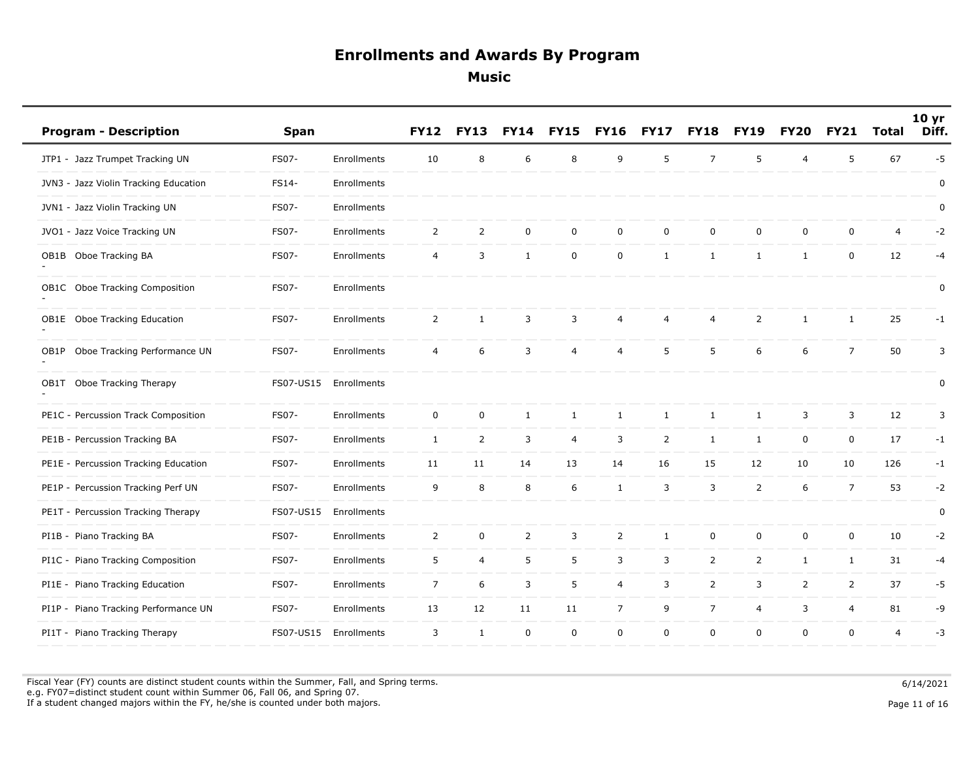| <b>Program - Description</b>          | <b>Span</b>  |             | <b>FY12</b>    | <b>FY13</b>    | <b>FY14</b>    | <b>FY15</b>    | <b>FY16</b>    | <b>FY17</b>    | <b>FY18</b>    | <b>FY19</b>    | <b>FY20</b>    | <b>FY21</b>    | <b>Total</b>   | 10 <sub>yr</sub><br>Diff. |
|---------------------------------------|--------------|-------------|----------------|----------------|----------------|----------------|----------------|----------------|----------------|----------------|----------------|----------------|----------------|---------------------------|
| JTP1 - Jazz Trumpet Tracking UN       | FS07-        | Enrollments | 10             | 8              | 6              | 8              | 9              | 5              | $\overline{7}$ | 5              | $\overline{4}$ | 5              | 67             | $-5$                      |
| JVN3 - Jazz Violin Tracking Education | FS14-        | Enrollments |                |                |                |                |                |                |                |                |                |                |                | 0                         |
| JVN1 - Jazz Violin Tracking UN        | FS07-        | Enrollments |                |                |                |                |                |                |                |                |                |                |                | 0                         |
| JVO1 - Jazz Voice Tracking UN         | FS07-        | Enrollments | $\overline{2}$ | $\overline{2}$ | $\mathbf 0$    | 0              | $\mathbf 0$    | $\pmb{0}$      | $\mathbf 0$    | $\mathsf 0$    | $\mathbf 0$    | $\mathbf 0$    | 4              | $-2$                      |
| Oboe Tracking BA<br>OB1B              | <b>FS07-</b> | Enrollments | $\overline{4}$ | 3              | $\mathbf{1}$   | 0              | 0              | 1              | 1              | $\mathbf{1}$   | $\mathbf{1}$   | $\mathbf 0$    | 12             | $-4$                      |
| OB1C Oboe Tracking Composition        | FS07-        | Enrollments |                |                |                |                |                |                |                |                |                |                |                | 0                         |
| OB1E Oboe Tracking Education          | FS07-        | Enrollments | $\overline{2}$ | $\mathbf{1}$   | 3              | 3              | 4              | $\overline{4}$ | 4              | $\overline{2}$ | $\mathbf{1}$   | 1              | 25             | $-1$                      |
| Oboe Tracking Performance UN<br>OB1P  | FS07-        | Enrollments | $\overline{4}$ | 6              | 3              | $\overline{4}$ | 4              | 5              | 5              | 6              | 6              | $\overline{7}$ | 50             | 3                         |
| OB1T Oboe Tracking Therapy            | FS07-US15    | Enrollments |                |                |                |                |                |                |                |                |                |                |                | $\pmb{0}$                 |
| PE1C - Percussion Track Composition   | FS07-        | Enrollments | $\mathbf 0$    | $\mathbf 0$    | $\mathbf{1}$   | $\mathbf{1}$   | $\mathbf{1}$   | $\mathbf{1}$   | $\mathbf{1}$   | $\mathbf{1}$   | 3              | 3              | 12             | 3                         |
| PE1B - Percussion Tracking BA         | FS07-        | Enrollments | $\mathbf{1}$   | $\overline{2}$ | 3              | 4              | 3              | $\overline{2}$ | $\mathbf{1}$   | $\mathbf{1}$   | $\mathbf 0$    | $\mathbf 0$    | 17             | -1                        |
| PE1E - Percussion Tracking Education  | FS07-        | Enrollments | 11             | 11             | 14             | 13             | 14             | 16             | 15             | 12             | 10             | 10             | 126            | $-1$                      |
| PE1P - Percussion Tracking Perf UN    | FS07-        | Enrollments | 9              | 8              | 8              | 6              | $\mathbf{1}$   | 3              | 3              | $\overline{2}$ | 6              | $\overline{7}$ | 53             | $-2$                      |
| PE1T - Percussion Tracking Therapy    | FS07-US15    | Enrollments |                |                |                |                |                |                |                |                |                |                |                | 0                         |
| PI1B - Piano Tracking BA              | FS07-        | Enrollments | $\overline{2}$ | $\mathbf 0$    | $\overline{2}$ | 3              | $\overline{2}$ | 1              | $\mathbf 0$    | 0              | $\mathbf 0$    | $\mathbf 0$    | 10             | $-2$                      |
| PI1C - Piano Tracking Composition     | FS07-        | Enrollments | 5              | $\overline{4}$ | 5              | 5              | 3              | $\mathsf 3$    | $\overline{2}$ | $\overline{2}$ | $\mathbf{1}$   | $\mathbf{1}$   | 31             | $-4$                      |
| PI1E - Piano Tracking Education       | FS07-        | Enrollments | $\overline{7}$ | 6              | 3              | 5              | 4              | 3              | $\overline{2}$ | 3              | $\overline{2}$ | $\overline{2}$ | 37             | $-5$                      |
| PI1P - Piano Tracking Performance UN  | FS07-        | Enrollments | 13             | 12             | 11             | 11             | $\overline{7}$ | 9              | $\overline{7}$ | 4              | 3              | 4              | 81             | -9                        |
| PI1T - Piano Tracking Therapy         | FS07-US15    | Enrollments | 3              | $\mathbf{1}$   | $\mathbf 0$    | $\mathbf 0$    | 0              | $\mathbf 0$    | $\mathbf 0$    | $\mathbf 0$    | $\mathbf 0$    | $\mathbf 0$    | $\overline{4}$ | $-3$                      |

Fiscal Year (FY) counts are distinct student counts within the Summer, Fall, and Spring terms.  $6/14/2021$  e.g. FY07=distinct student count within Summer 06, Fall 06, and Spring 07. If a student changed majors within the FY, he/she is counted under both majors. Page 11 of 16 16 and the student student changed majors within the FY, he/she is counted under both majors.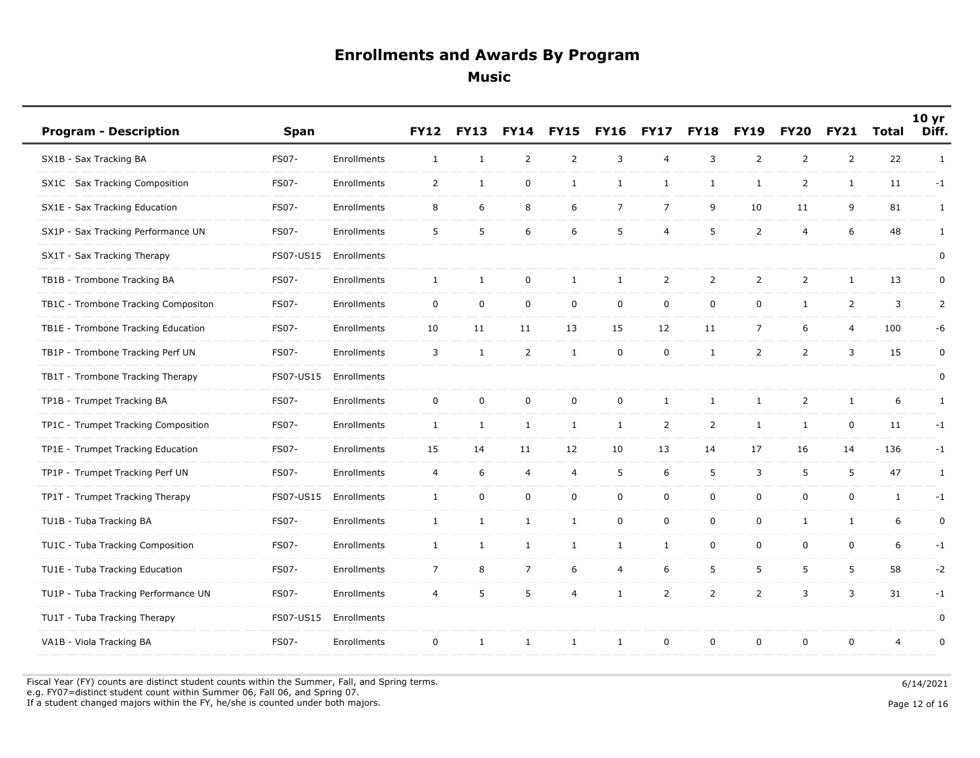| <b>Program - Description</b>        | Span         |             | <b>FY12</b>    | <b>FY13</b>  | <b>FY14</b>    | <b>FY15</b>         | <b>FY16</b>    | <b>FY17</b>    | <b>FY18</b>    | <b>FY19</b>    | <b>FY20</b>    | <b>FY21</b>    | <b>Total</b> | 10 <sub>yr</sub><br>Diff. |
|-------------------------------------|--------------|-------------|----------------|--------------|----------------|---------------------|----------------|----------------|----------------|----------------|----------------|----------------|--------------|---------------------------|
| SX1B - Sax Tracking BA              | FS07-        | Enrollments | $\mathbf{1}$   | $\mathbf{1}$ | $\overline{2}$ | $\overline{2}$      | 3              | $\overline{4}$ | 3              | $\overline{2}$ | $\overline{2}$ | $\overline{2}$ | 22           | $\mathbf{1}$              |
| SX1C Sax Tracking Composition       | FS07-        | Enrollments | $\overline{2}$ | $\mathbf{1}$ | 0              | $\mathbf{1}$        | $\mathbf{1}$   | 1              | $\mathbf{1}$   | $\mathbf{1}$   | $\overline{2}$ | $\mathbf{1}$   | 11           | $-1$                      |
| SX1E - Sax Tracking Education       | FS07-        | Enrollments | 8              | 6            | 8              | 6                   | $\overline{7}$ | $\overline{7}$ | 9              | 10             | 11             | 9              | 81           | $\mathbf{1}$              |
| SX1P - Sax Tracking Performance UN  | FS07-        | Enrollments | 5              | 5            | 6              | 6                   | 5              | 4              | 5              | $\overline{2}$ | $\overline{4}$ | 6              | 48           | $\mathbf{1}$              |
| SX1T - Sax Tracking Therapy         | FS07-US15    | Enrollments |                |              |                |                     |                |                |                |                |                |                |              | $\pmb{0}$                 |
| TB1B - Trombone Tracking BA         | <b>FS07-</b> | Enrollments | $\mathbf{1}$   | $\mathbf{1}$ | 0              | $\mathbf{1}$        | $\mathbf{1}$   | $\overline{2}$ | $\overline{2}$ | $\overline{2}$ | $\overline{2}$ | $\mathbf{1}$   | 13           | 0                         |
| TB1C - Trombone Tracking Compositon | <b>FS07-</b> | Enrollments | $\mathbf 0$    | $\mathbf 0$  | $\mathbf 0$    | $\mathsf{O}\xspace$ | $\mathbf 0$    | $\pmb{0}$      | $\mathbf 0$    | $\mathbf 0$    | $\mathbf{1}$   | $\overline{2}$ | 3            | $\overline{2}$            |
| TB1E - Trombone Tracking Education  | FS07-        | Enrollments | 10             | 11           | 11             | 13                  | 15             | 12             | 11             | $\overline{7}$ | 6              | 4              | 100          | -6                        |
| TB1P - Trombone Tracking Perf UN    | FS07-        | Enrollments | $\overline{3}$ | $\mathbf{1}$ | $\overline{2}$ | $\mathbf{1}$        | $\mathbf 0$    | $\mathbf 0$    | $\mathbf{1}$   | $\overline{2}$ | $\overline{2}$ | $\overline{3}$ | 15           | $\mathbf 0$               |
| TB1T - Trombone Tracking Therapy    | FS07-US15    | Enrollments |                |              |                |                     |                |                |                |                |                |                |              | 0                         |
| TP1B - Trumpet Tracking BA          | FS07-        | Enrollments | $\mathsf{O}$   | $\mathbf 0$  | 0              | $\pmb{0}$           | $\mathsf{O}$   | $\mathbf{1}$   | $\mathbf{1}$   | 1              | $\overline{2}$ | $\mathbf{1}$   | 6            | 1                         |
| TP1C - Trumpet Tracking Composition | <b>FS07-</b> | Enrollments | $\mathbf{1}$   | $\mathbf{1}$ | $\mathbf{1}$   | $\mathbf{1}$        | $\mathbf{1}$   | $\overline{2}$ | $\overline{2}$ | $\mathbf{1}$   | $\mathbf{1}$   | $\mathbf 0$    | 11           | $-1$                      |
| TP1E - Trumpet Tracking Education   | <b>FS07-</b> | Enrollments | 15             | 14           | 11             | 12                  | 10             | 13             | 14             | 17             | 16             | 14             | 136          | $-1$                      |
| TP1P - Trumpet Tracking Perf UN     | FS07-        | Enrollments | $\overline{4}$ | 6            | 4              | 4                   | 5              | 6              | 5              | 3              | 5              | 5              | 47           | 1                         |
| TP1T - Trumpet Tracking Therapy     | FS07-US15    | Enrollments | $\mathbf{1}$   | $\mathbf 0$  | 0              | $\mathsf 0$         | $\mathsf{O}$   | $\mathsf 0$    | $\mathbf 0$    | $\mathbf 0$    | $\mathbf 0$    | $\mathsf{O}$   | $\mathbf{1}$ | $-1$                      |
| TU1B - Tuba Tracking BA             | <b>FS07-</b> | Enrollments | <sup>1</sup>   | $\mathbf{1}$ | $\mathbf{1}$   | $\mathbf{1}$        | $\mathbf 0$    | $\mathsf 0$    | $\mathbf 0$    | $\mathbf 0$    | $\mathbf{1}$   | 1              | 6            | 0                         |
| TU1C - Tuba Tracking Composition    | FS07-        | Enrollments | $\mathbf{1}$   | $\mathbf{1}$ | $\mathbf{1}$   | $\mathbf{1}$        | $\mathbf{1}$   | $\mathbf{1}$   | $\mathsf{O}$   | $\mathbf 0$    | $\mathbf 0$    | $\mathsf{O}$   | 6            | $-1$                      |
| TU1E - Tuba Tracking Education      | <b>FS07-</b> | Enrollments | $\overline{7}$ | 8            | $\overline{7}$ | 6                   | 4              | 6              | 5              | 5              | 5              | 5              | 58           | $-2$                      |
| TU1P - Tuba Tracking Performance UN | FS07-        | Enrollments | $\overline{4}$ | 5            | 5              | 4                   | $\mathbf{1}$   | 2              | $\overline{2}$ | $\overline{2}$ | 3              | 3              | 31           | $-1$                      |
| TU1T - Tuba Tracking Therapy        | FS07-US15    | Enrollments |                |              |                |                     |                |                |                |                |                |                |              | $\mathbf 0$               |
| VA1B - Viola Tracking BA            | FS07-        | Enrollments | $\mathbf 0$    | $\mathbf{1}$ | $\mathbf{1}$   | $\mathbf{1}$        | $\mathbf{1}$   | $\mathsf 0$    | $\mathsf 0$    | $\mathbf 0$    | $\mathbf 0$    | $\mathbf 0$    | 4            | $\pmb{0}$                 |

Fiscal Year (FY) counts are distinct student counts within the Summer, Fall, and Spring terms.  $6/14/2021$  e.g. FY07=distinct student count within Summer 06, Fall 06, and Spring 07. If a student changed majors within the FY, he/she is counted under both majors. Page 12 of 16 and the student of the student changed majors within the FY, he/she is counted under both majors.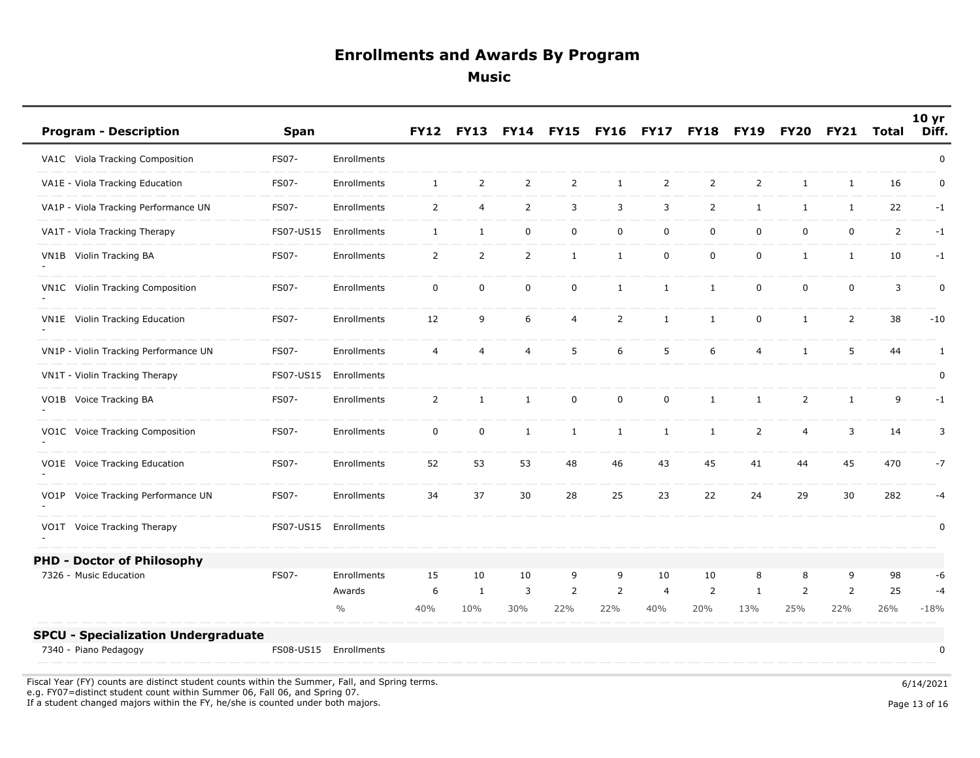| <b>Program - Description</b>                                                                                                                    | <b>Span</b>                        |                         | <b>FY12</b>    | <b>FY13</b>    | <b>FY14</b>      | <b>FY15</b>    | <b>FY16</b>    | <b>FY17</b>           | <b>FY18</b>    | <b>FY19</b>         | <b>FY20</b>           | <b>FY21</b>    | Total          | 10 <sub>yr</sub><br>Diff. |
|-------------------------------------------------------------------------------------------------------------------------------------------------|------------------------------------|-------------------------|----------------|----------------|------------------|----------------|----------------|-----------------------|----------------|---------------------|-----------------------|----------------|----------------|---------------------------|
| VA1C Viola Tracking Composition                                                                                                                 | FS07-                              | Enrollments             |                |                |                  |                |                |                       |                |                     |                       |                |                | 0                         |
| VA1E - Viola Tracking Education                                                                                                                 | FS07-                              | Enrollments             | $\mathbf{1}$   | $\overline{2}$ | $\overline{2}$   | $\overline{2}$ | $\mathbf{1}$   | $\overline{2}$        | $\overline{2}$ | $\overline{2}$      | $\mathbf{1}$          | $\mathbf{1}$   | 16             | 0                         |
| VA1P - Viola Tracking Performance UN                                                                                                            | FS07-                              | Enrollments             | $\overline{2}$ | 4              | $\overline{2}$   | 3              | 3              | 3                     | $\overline{2}$ | $\mathbf{1}$        | $\mathbf{1}$          | $\mathbf{1}$   | 22             | $-1$                      |
| VA1T - Viola Tracking Therapy                                                                                                                   | FS07-US15                          | Enrollments             | $\mathbf{1}$   | $\mathbf{1}$   | $\mathsf 0$      | $\mathbf 0$    | $\mathbf 0$    | $\mathbf 0$           | $\mathbf 0$    | $\mathsf 0$         | $\mathsf{O}$          | $\mathsf{O}$   | $\overline{2}$ | $-1$                      |
| VN1B Violin Tracking BA                                                                                                                         | <b>FS07-</b>                       | Enrollments             | $\overline{2}$ | $\overline{2}$ | $\overline{2}$   | $\mathbf{1}$   | $\mathbf{1}$   | $\mathbf 0$           | $\mathbf 0$    | $\mathbf 0$         | $\mathbf{1}$          | $\mathbf{1}$   | 10             | $-1$                      |
| VN1C Violin Tracking Composition                                                                                                                | <b>FS07-</b>                       | Enrollments             | $\mathbf 0$    | 0              | $\mathsf 0$      | $\mathbf 0$    | $\mathbf{1}$   | 1                     | $\mathbf{1}$   | $\mathbf 0$         | $\mathbf 0$           | $\mathbf 0$    | 3              | $\mathbf 0$               |
| VN1E Violin Tracking Education                                                                                                                  | FS07-                              | Enrollments             | 12             | 9              | $\boldsymbol{6}$ | $\overline{4}$ | $\overline{2}$ | $\mathbf{1}$          | $\mathbf{1}$   | $\mathbf 0$         | $\mathbf{1}$          | $\overline{2}$ | 38             | $-10$                     |
| VN1P - Violin Tracking Performance UN                                                                                                           | FS07-                              | Enrollments             | $\overline{4}$ | 4              | $\overline{4}$   | 5              | 6              | 5                     | 6              | 4                   | $\mathbf{1}$          | 5              | 44             | 1                         |
| VN1T - Violin Tracking Therapy                                                                                                                  | FS07-US15                          | Enrollments             |                |                |                  |                |                |                       |                |                     |                       |                |                | $\pmb{0}$                 |
| VO1B Voice Tracking BA                                                                                                                          | <b>FS07-</b>                       | Enrollments             | $\overline{2}$ | $\mathbf{1}$   | $\mathbf{1}$     | $\mathsf 0$    | $\mathbf 0$    | $\pmb{0}$             | $\mathbf{1}$   | $\mathbf{1}$        | $\overline{2}$        | $\mathbf{1}$   | 9              | $-1$                      |
| VO1C Voice Tracking Composition                                                                                                                 | FS07-                              | Enrollments             | $\mathbf 0$    | 0              | $\mathbf{1}$     | $\mathbf{1}$   | $\mathbf{1}$   | $\mathbf{1}$          | $\mathbf{1}$   | $\overline{2}$      | 4                     | $\overline{3}$ | 14             | 3                         |
| VO1E Voice Tracking Education                                                                                                                   | FS07-                              | Enrollments             | 52             | 53             | 53               | 48             | 46             | 43                    | 45             | 41                  | 44                    | 45             | 470            | $-7$                      |
| VO1P Voice Tracking Performance UN                                                                                                              | FS07-                              | Enrollments             | 34             | 37             | 30               | 28             | 25             | 23                    | 22             | 24                  | 29                    | 30             | 282            | $-4$                      |
| VO1T Voice Tracking Therapy                                                                                                                     | FS07-US15                          | Enrollments             |                |                |                  |                |                |                       |                |                     |                       |                |                | $\pmb{0}$                 |
| <b>PHD - Doctor of Philosophy</b>                                                                                                               |                                    |                         |                |                |                  |                |                |                       |                |                     |                       |                |                |                           |
| 7326 - Music Education                                                                                                                          | FS07-                              | Enrollments             | 15             | 10             | 10               | 9              | 9              | 10                    | 10             | 8                   | 8                     | 9              | 98             | -6                        |
|                                                                                                                                                 |                                    | Awards<br>$\frac{0}{0}$ | 6<br>40%       | 1<br>10%       | 3<br>30%         | 2<br>22%       | 2<br>22%       | $\overline{4}$<br>40% | 2<br>20%       | $\mathbf{1}$<br>13% | $\overline{2}$<br>25% | 2<br>22%       | 25<br>26%      | $-4$<br>$-18%$            |
| <b>SPCU - Specialization Undergraduate</b>                                                                                                      |                                    |                         |                |                |                  |                |                |                       |                |                     |                       |                |                |                           |
| 7340 - Piano Pedagogy                                                                                                                           |                                    | FS08-US15 Enrollments   |                |                |                  |                |                |                       |                |                     |                       |                |                | $\pmb{0}$                 |
| $\sim$ $\sim$ $\sim$<br>$\sim$<br>the search of the contract of the contract of the contract of the contract of the contract of the contract of | the common contract and the common |                         |                |                |                  |                |                |                       |                |                     |                       |                |                |                           |

Fiscal Year (FY) counts are distinct student counts within the Summer, Fall, and Spring terms. e.g. FY07=distinct student count within Summer 06, Fall 06, and Spring 07.

If a student changed majors within the FY, he/she is counted under both majors.

Page 13 of 16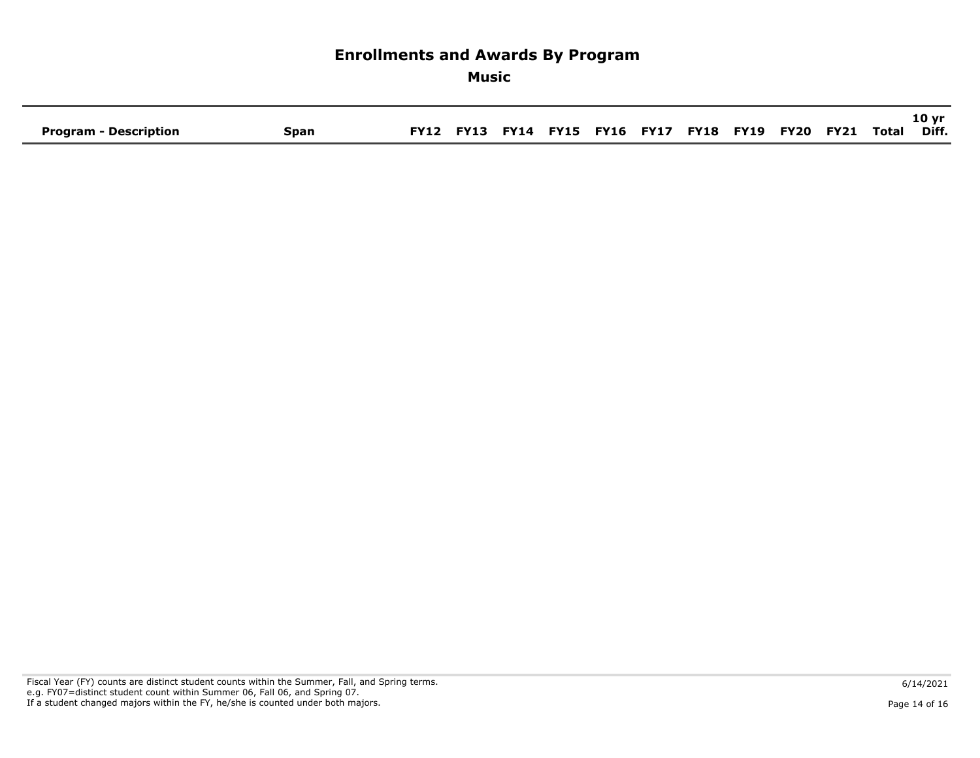# **Enrollments and Awards By Program Music 10 yr**  Program - Description **Span FY12 FY13 FY14 FY15 FY16 FY17 FY18 FY19 FY20 FY21 Total**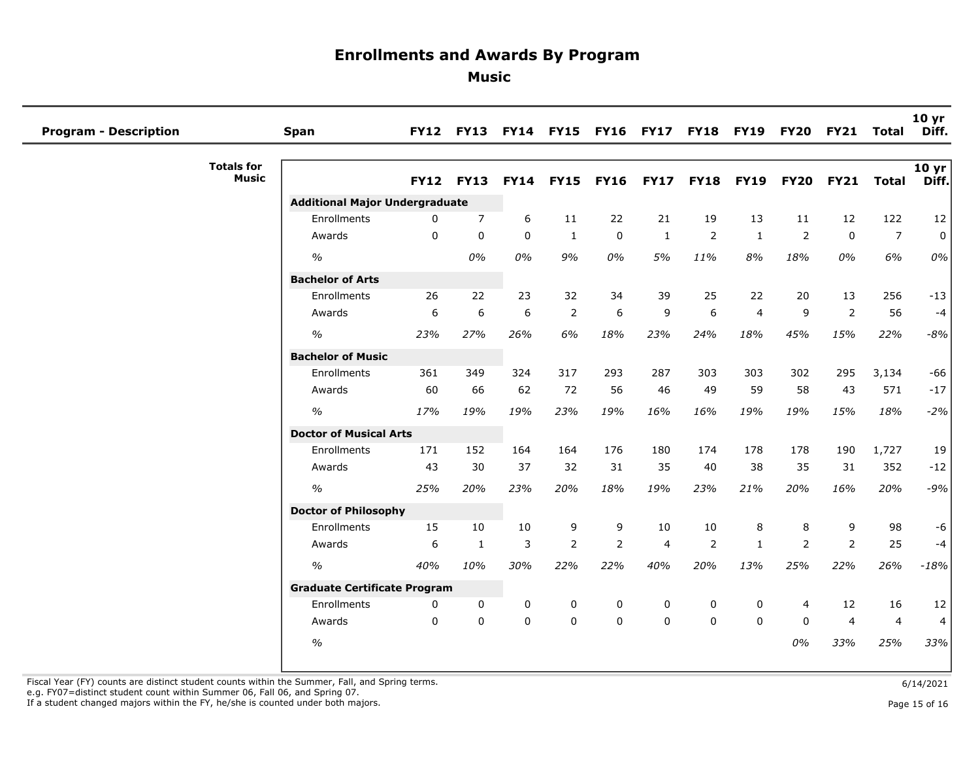**Music** 

| <b>Program - Description</b>      | Span                                  |             | FY12 FY13 FY14 FY15 |             |                |                |                |             | <b>FY16 FY17 FY18 FY19 FY20</b> |                | FY21 Total     |                | 10 yr<br>Diff. |
|-----------------------------------|---------------------------------------|-------------|---------------------|-------------|----------------|----------------|----------------|-------------|---------------------------------|----------------|----------------|----------------|----------------|
| <b>Totals for</b><br><b>Music</b> |                                       | <b>FY12</b> | <b>FY13</b>         | <b>FY14</b> | <b>FY15</b>    | <b>FY16</b>    | <b>FY17</b>    | <b>FY18</b> | <b>FY19</b>                     | <b>FY20</b>    | <b>FY21</b>    | <b>Total</b>   | 10 yr<br>Diff. |
|                                   | <b>Additional Major Undergraduate</b> |             |                     |             |                |                |                |             |                                 |                |                |                |                |
|                                   | Enrollments                           | $\Omega$    | $\overline{7}$      | 6           | 11             | 22             | 21             | 19          | 13                              | 11             | 12             | 122            | 12             |
|                                   | Awards                                | $\Omega$    | $\mathbf{0}$        | $\mathbf 0$ | $\mathbf{1}$   | $\mathbf 0$    | $\mathbf{1}$   | 2           | $\mathbf{1}$                    | $\overline{2}$ | $\mathbf 0$    | $\overline{7}$ | $\mathbf 0$    |
|                                   | $\frac{0}{0}$                         |             | 0%                  | 0%          | 9%             | 0%             | 5%             | 11%         | 8%                              | 18%            | 0%             | 6%             | 0%             |
|                                   | <b>Bachelor of Arts</b>               |             |                     |             |                |                |                |             |                                 |                |                |                |                |
|                                   | Enrollments                           | 26          | 22                  | 23          | 32             | 34             | 39             | 25          | 22                              | 20             | 13             | 256            | $-13$          |
|                                   | Awards                                | 6           | 6                   | 6           | $\overline{2}$ | 6              | 9              | 6           | $\overline{4}$                  | 9              | $\overline{2}$ | 56             | $-4$           |
|                                   | $\frac{1}{2}$                         | 23%         | 27%                 | 26%         | 6%             | 18%            | 23%            | 24%         | 18%                             | 45%            | 15%            | 22%            | $-8%$          |
|                                   | <b>Bachelor of Music</b>              |             |                     |             |                |                |                |             |                                 |                |                |                |                |
|                                   | Enrollments                           | 361         | 349                 | 324         | 317            | 293            | 287            | 303         | 303                             | 302            | 295            | 3,134          | $-66$          |
|                                   | Awards                                | 60          | 66                  | 62          | 72             | 56             | 46             | 49          | 59                              | 58             | 43             | 571            | $-17$          |
|                                   | $\%$                                  | 17%         | 19%                 | 19%         | 23%            | 19%            | 16%            | 16%         | 19%                             | 19%            | 15%            | 18%            | $-2%$          |
|                                   | <b>Doctor of Musical Arts</b>         |             |                     |             |                |                |                |             |                                 |                |                |                |                |
|                                   | Enrollments                           | 171         | 152                 | 164         | 164            | 176            | 180            | 174         | 178                             | 178            | 190            | 1,727          | 19             |
|                                   | Awards                                | 43          | 30                  | 37          | 32             | 31             | 35             | 40          | 38                              | 35             | 31             | 352            | $-12$          |
|                                   | $\frac{1}{2}$                         | 25%         | 20%                 | 23%         | 20%            | 18%            | 19%            | 23%         | 21%                             | 20%            | 16%            | 20%            | $-9%$          |
|                                   | <b>Doctor of Philosophy</b>           |             |                     |             |                |                |                |             |                                 |                |                |                |                |
|                                   | Enrollments                           | 15          | 10                  | 10          | 9              | 9              | 10             | 10          | 8                               | 8              | 9              | 98             | $-6$           |
|                                   | Awards                                | 6           | $\mathbf{1}$        | 3           | $\overline{2}$ | $\overline{2}$ | $\overline{4}$ | 2           | $\mathbf{1}$                    | 2              | 2              | 25             | $-4$           |
|                                   | $\frac{1}{2}$                         | 40%         | 10%                 | 30%         | 22%            | 22%            | 40%            | 20%         | 13%                             | 25%            | 22%            | 26%            | $-18%$         |
|                                   | <b>Graduate Certificate Program</b>   |             |                     |             |                |                |                |             |                                 |                |                |                |                |
|                                   | Enrollments                           | 0           | $\mathbf 0$         | 0           | 0              | 0              | 0              | 0           | 0                               | $\overline{4}$ | 12             | 16             | 12             |
|                                   | Awards                                | $\Omega$    | $\Omega$            | $\mathbf 0$ | $\mathbf 0$    | $\mathbf 0$    | $\mathbf{0}$   | $\Omega$    | $\mathbf{0}$                    | $\Omega$       | $\overline{4}$ | $\overline{4}$ | 4              |
|                                   | $\frac{0}{0}$                         |             |                     |             |                |                |                |             |                                 | 0%             | 33%            | 25%            | 33%            |

Fiscal Year (FY) counts are distinct student counts within the Summer, Fall, and Spring terms.<br>e.g. FY07=distinct student count within Summer 06, Fall 06, and Spring 07.

If a student changed majors within the FY, he/she is counted under both majors. Page 15 of 16 and the student of the student changed majors within the FY, he/she is counted under both majors.

Page 15 of 16